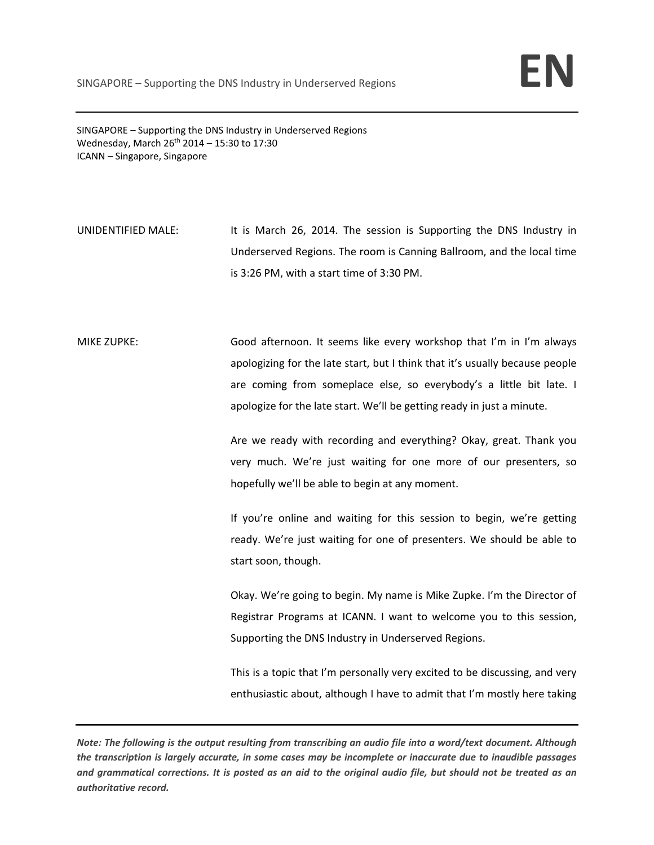SINGAPORE – Supporting the DNS Industry in Underserved Regions Wednesday, March  $26^{th}$  2014 – 15:30 to 17:30 ICANN – Singapore, Singapore

UNIDENTIFIED MALE: It is March 26, 2014. The session is Supporting the DNS Industry in Underserved Regions. The room is Canning Ballroom, and the local time is 3:26 PM, with a start time of 3:30 PM.

MIKE ZUPKE: Good afternoon. It seems like every workshop that I'm in I'm always apologizing for the late start, but I think that it's usually because people are coming from someplace else, so everybody's a little bit late. I apologize for the late start. We'll be getting ready in just a minute.

> Are we ready with recording and everything? Okay, great. Thank you very much. We're just waiting for one more of our presenters, so hopefully we'll be able to begin at any moment.

> If you're online and waiting for this session to begin, we're getting ready. We're just waiting for one of presenters. We should be able to start soon, though.

> Okay. We're going to begin. My name is Mike Zupke. I'm the Director of Registrar Programs at ICANN. I want to welcome you to this session, Supporting the DNS Industry in Underserved Regions.

> This is a topic that I'm personally very excited to be discussing, and very enthusiastic about, although I have to admit that I'm mostly here taking

Note: The following is the output resulting from transcribing an audio file into a word/text document. Although the transcription is largely accurate, in some cases may be incomplete or inaccurate due to inaudible passages and grammatical corrections. It is posted as an aid to the original audio file, but should not be treated as an *authoritative record.*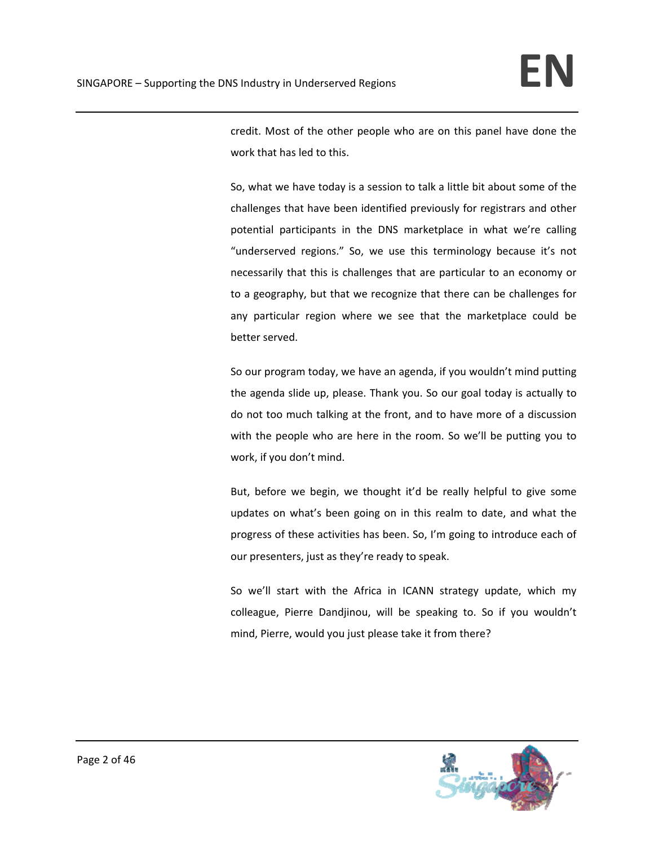credit. Most of the other people who are on this panel have done the work that has led to this.

So, what we have today is a session to talk a little bit about some of the challenges that have been identified previously for registrars and other potential participants in the DNS marketplace in what we're calling "underserved regions." So, we use this terminology because it's not necessarily that this is challenges that are particular to an economy or to a geography, but that we recognize that there can be challenges for any particular region where we see that the marketplace could be better served.

So our program today, we have an agenda, if you wouldn't mind putting the agenda slide up, please. Thank you. So our goal today is actually to do not too much talking at the front, and to have more of a discussion with the people who are here in the room. So we'll be putting you to work, if you don't mind.

But, before we begin, we thought it'd be really helpful to give some updates on what's been going on in this realm to date, and what the progress of these activities has been. So, I'm going to introduce each of our presenters, just as they're ready to speak.

So we'll start with the Africa in ICANN strategy update, which my colleague, Pierre Dandjinou, will be speaking to. So if you wouldn't mind, Pierre, would you just please take it from there?

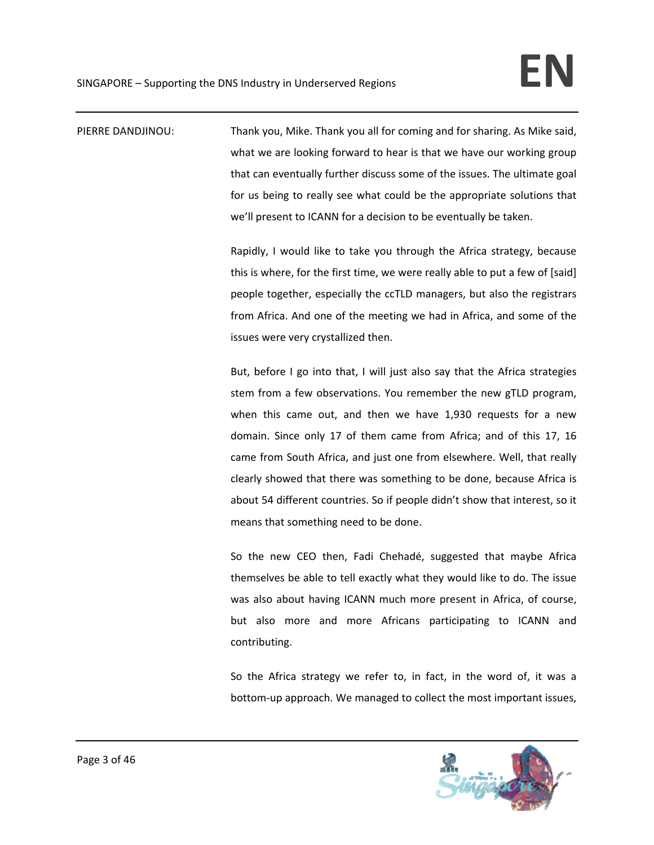PIERRE DANDJINOU: Thank you, Mike. Thank you all for coming and for sharing. As Mike said, what we are looking forward to hear is that we have our working group that can eventually further discuss some of the issues. The ultimate goal for us being to really see what could be the appropriate solutions that we'll present to ICANN for a decision to be eventually be taken.

> Rapidly, I would like to take you through the Africa strategy, because this is where, for the first time, we were really able to put a few of [said] people together, especially the ccTLD managers, but also the registrars from Africa. And one of the meeting we had in Africa, and some of the issues were very crystallized then.

> But, before I go into that, I will just also say that the Africa strategies stem from a few observations. You remember the new gTLD program, when this came out, and then we have 1,930 requests for a new domain. Since only 17 of them came from Africa; and of this 17, 16 came from South Africa, and just one from elsewhere. Well, that really clearly showed that there was something to be done, because Africa is about 54 different countries. So if people didn't show that interest, so it means that something need to be done.

> So the new CEO then, Fadi Chehadé, suggested that maybe Africa themselves be able to tell exactly what they would like to do. The issue was also about having ICANN much more present in Africa, of course, but also more and more Africans participating to ICANN and contributing.

> So the Africa strategy we refer to, in fact, in the word of, it was a bottom‐up approach. We managed to collect the most important issues,

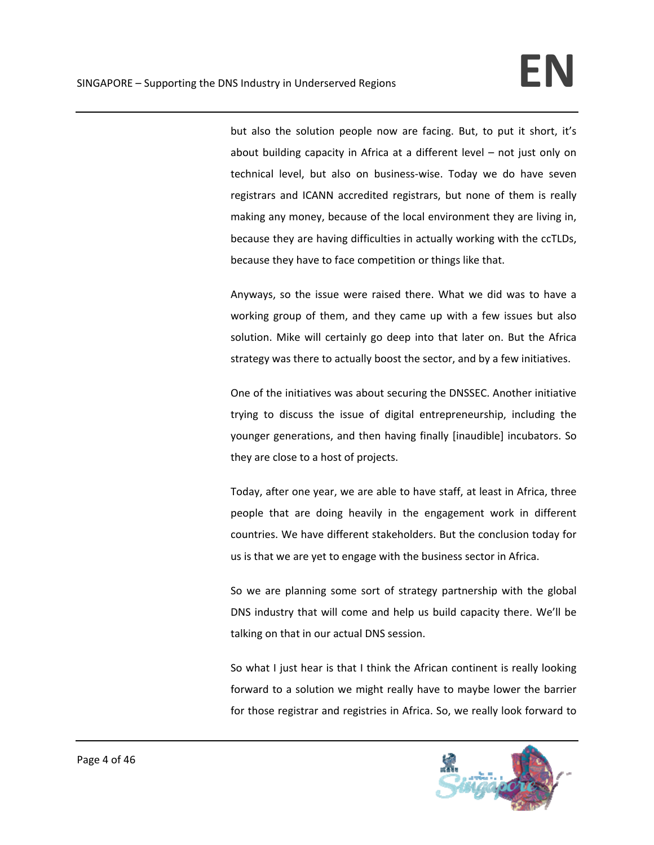but also the solution people now are facing. But, to put it short, it's about building capacity in Africa at a different level – not just only on technical level, but also on business‐wise. Today we do have seven registrars and ICANN accredited registrars, but none of them is really making any money, because of the local environment they are living in, because they are having difficulties in actually working with the ccTLDs, because they have to face competition or things like that.

Anyways, so the issue were raised there. What we did was to have a working group of them, and they came up with a few issues but also solution. Mike will certainly go deep into that later on. But the Africa strategy was there to actually boost the sector, and by a few initiatives.

One of the initiatives was about securing the DNSSEC. Another initiative trying to discuss the issue of digital entrepreneurship, including the younger generations, and then having finally [inaudible] incubators. So they are close to a host of projects.

Today, after one year, we are able to have staff, at least in Africa, three people that are doing heavily in the engagement work in different countries. We have different stakeholders. But the conclusion today for us is that we are yet to engage with the business sector in Africa.

So we are planning some sort of strategy partnership with the global DNS industry that will come and help us build capacity there. We'll be talking on that in our actual DNS session.

So what I just hear is that I think the African continent is really looking forward to a solution we might really have to maybe lower the barrier for those registrar and registries in Africa. So, we really look forward to

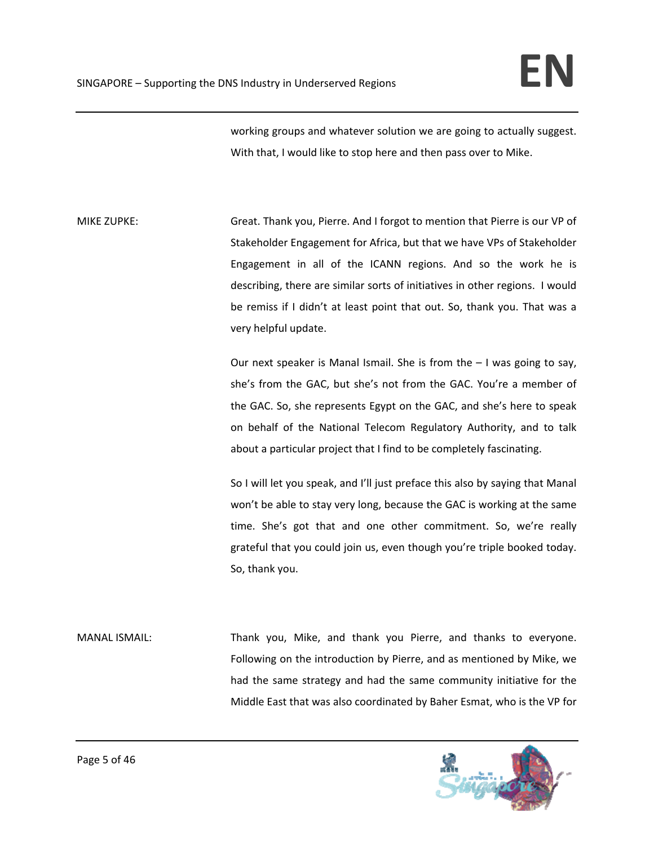working groups and whatever solution we are going to actually suggest. With that, I would like to stop here and then pass over to Mike.

MIKE ZUPKE: Great. Thank you, Pierre. And I forgot to mention that Pierre is our VP of Stakeholder Engagement for Africa, but that we have VPs of Stakeholder Engagement in all of the ICANN regions. And so the work he is describing, there are similar sorts of initiatives in other regions. I would be remiss if I didn't at least point that out. So, thank you. That was a very helpful update.

> Our next speaker is Manal Ismail. She is from the – I was going to say, she's from the GAC, but she's not from the GAC. You're a member of the GAC. So, she represents Egypt on the GAC, and she's here to speak on behalf of the National Telecom Regulatory Authority, and to talk about a particular project that I find to be completely fascinating.

> So I will let you speak, and I'll just preface this also by saying that Manal won't be able to stay very long, because the GAC is working at the same time. She's got that and one other commitment. So, we're really grateful that you could join us, even though you're triple booked today. So, thank you.

MANAL ISMAIL: Thank you, Mike, and thank you Pierre, and thanks to everyone. Following on the introduction by Pierre, and as mentioned by Mike, we had the same strategy and had the same community initiative for the Middle East that was also coordinated by Baher Esmat, who is the VP for

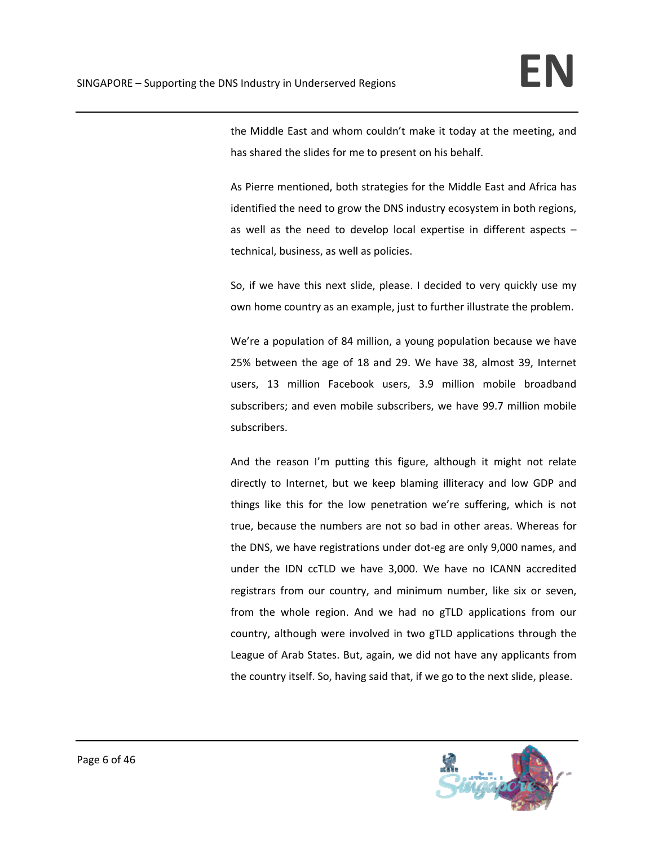the Middle East and whom couldn't make it today at the meeting, and has shared the slides for me to present on his behalf.

As Pierre mentioned, both strategies for the Middle East and Africa has identified the need to grow the DNS industry ecosystem in both regions, as well as the need to develop local expertise in different aspects – technical, business, as well as policies.

So, if we have this next slide, please. I decided to very quickly use my own home country as an example, just to further illustrate the problem.

We're a population of 84 million, a young population because we have 25% between the age of 18 and 29. We have 38, almost 39, Internet users, 13 million Facebook users, 3.9 million mobile broadband subscribers; and even mobile subscribers, we have 99.7 million mobile subscribers.

And the reason I'm putting this figure, although it might not relate directly to Internet, but we keep blaming illiteracy and low GDP and things like this for the low penetration we're suffering, which is not true, because the numbers are not so bad in other areas. Whereas for the DNS, we have registrations under dot‐eg are only 9,000 names, and under the IDN ccTLD we have 3,000. We have no ICANN accredited registrars from our country, and minimum number, like six or seven, from the whole region. And we had no gTLD applications from our country, although were involved in two gTLD applications through the League of Arab States. But, again, we did not have any applicants from the country itself. So, having said that, if we go to the next slide, please.

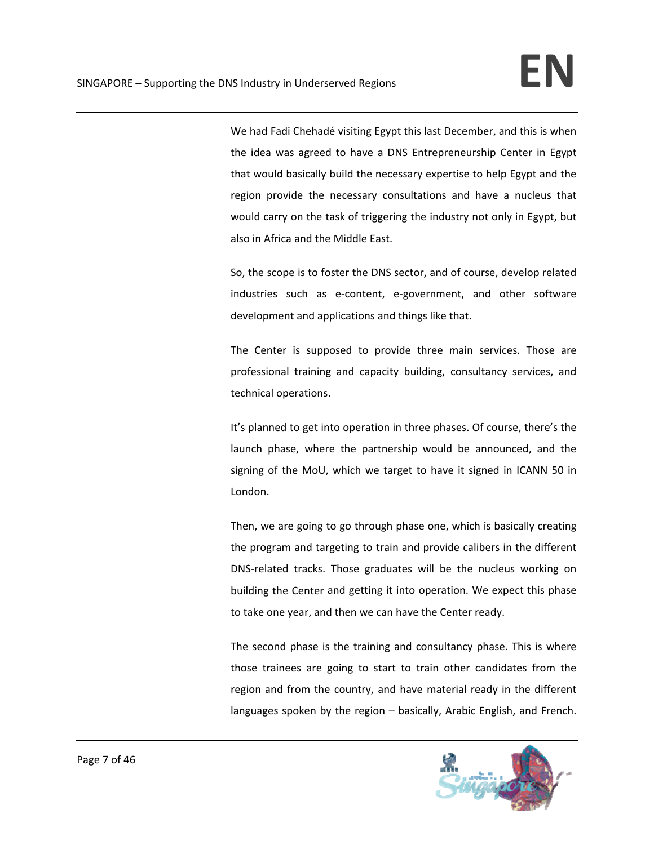We had Fadi Chehadé visiting Egypt this last December, and this is when the idea was agreed to have a DNS Entrepreneurship Center in Egypt that would basically build the necessary expertise to help Egypt and the region provide the necessary consultations and have a nucleus that would carry on the task of triggering the industry not only in Egypt, but also in Africa and the Middle East.

So, the scope is to foster the DNS sector, and of course, develop related industries such as e-content, e-government, and other software development and applications and things like that.

The Center is supposed to provide three main services. Those are professional training and capacity building, consultancy services, and technical operations.

It's planned to get into operation in three phases. Of course, there's the launch phase, where the partnership would be announced, and the signing of the MoU, which we target to have it signed in ICANN 50 in London.

Then, we are going to go through phase one, which is basically creating the program and targeting to train and provide calibers in the different DNS‐related tracks. Those graduates will be the nucleus working on building the Center and getting it into operation. We expect this phase to take one year, and then we can have the Center ready.

The second phase is the training and consultancy phase. This is where those trainees are going to start to train other candidates from the region and from the country, and have material ready in the different languages spoken by the region – basically, Arabic English, and French.

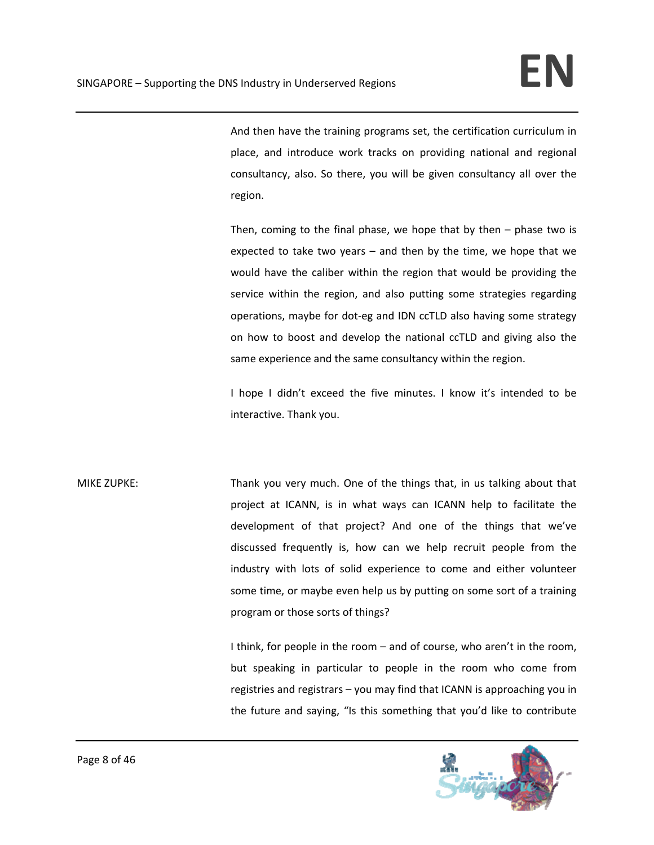And then have the training programs set, the certification curriculum in place, and introduce work tracks on providing national and regional consultancy, also. So there, you will be given consultancy all over the region.

Then, coming to the final phase, we hope that by then  $-$  phase two is expected to take two years – and then by the time, we hope that we would have the caliber within the region that would be providing the service within the region, and also putting some strategies regarding operations, maybe for dot‐eg and IDN ccTLD also having some strategy on how to boost and develop the national ccTLD and giving also the same experience and the same consultancy within the region.

I hope I didn't exceed the five minutes. I know it's intended to be interactive. Thank you.

MIKE ZUPKE: Thank you very much. One of the things that, in us talking about that project at ICANN, is in what ways can ICANN help to facilitate the development of that project? And one of the things that we've discussed frequently is, how can we help recruit people from the industry with lots of solid experience to come and either volunteer some time, or maybe even help us by putting on some sort of a training program or those sorts of things?

> I think, for people in the room – and of course, who aren't in the room, but speaking in particular to people in the room who come from registries and registrars – you may find that ICANN is approaching you in the future and saying, "Is this something that you'd like to contribute

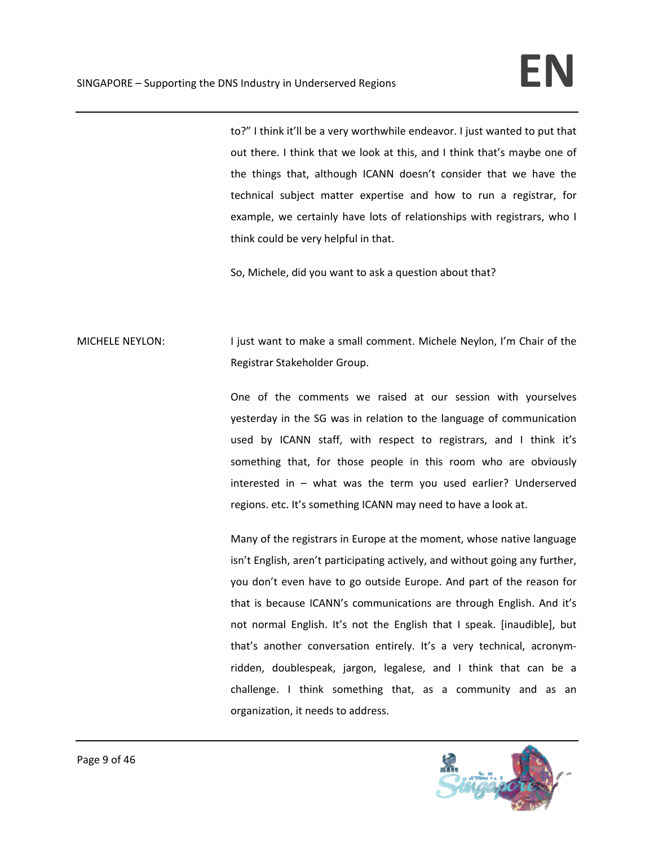to?" I think it'll be a very worthwhile endeavor. I just wanted to put that out there. I think that we look at this, and I think that's maybe one of the things that, although ICANN doesn't consider that we have the technical subject matter expertise and how to run a registrar, for example, we certainly have lots of relationships with registrars, who I think could be very helpful in that.

So, Michele, did you want to ask a question about that?

## MICHELE NEYLON: I just want to make a small comment. Michele Neylon, I'm Chair of the Registrar Stakeholder Group.

One of the comments we raised at our session with yourselves yesterday in the SG was in relation to the language of communication used by ICANN staff, with respect to registrars, and I think it's something that, for those people in this room who are obviously interested in – what was the term you used earlier? Underserved regions. etc. It's something ICANN may need to have a look at.

Many of the registrars in Europe at the moment, whose native language isn't English, aren't participating actively, and without going any further, you don't even have to go outside Europe. And part of the reason for that is because ICANN's communications are through English. And it's not normal English. It's not the English that I speak. [inaudible], but that's another conversation entirely. It's a very technical, acronym‐ ridden, doublespeak, jargon, legalese, and I think that can be a challenge. I think something that, as a community and as an organization, it needs to address.

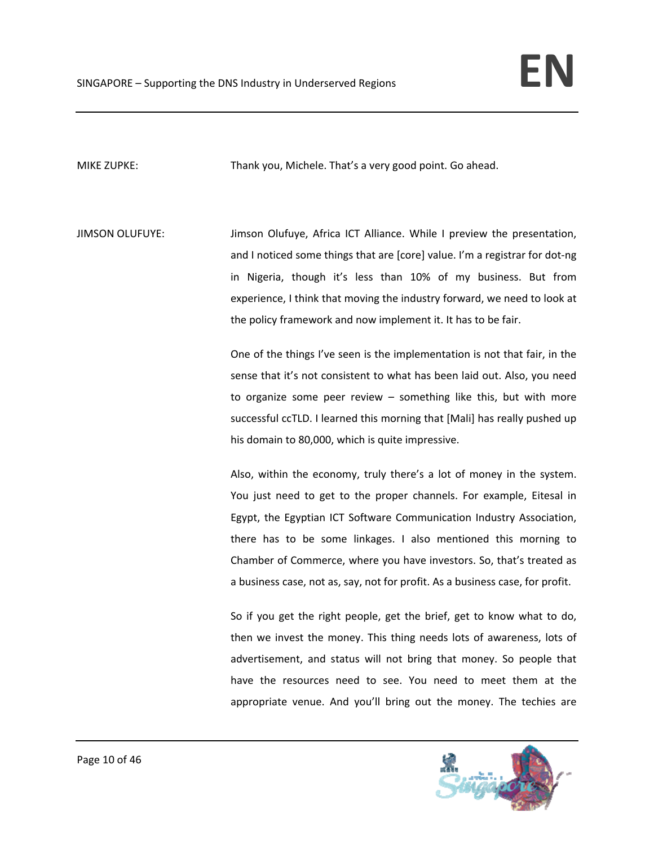MIKE ZUPKE: Thank you, Michele. That's a very good point. Go ahead.

JIMSON OLUFUYE: Jimson Olufuye, Africa ICT Alliance. While I preview the presentation, and I noticed some things that are [core] value. I'm a registrar for dot‐ng in Nigeria, though it's less than 10% of my business. But from experience, I think that moving the industry forward, we need to look at the policy framework and now implement it. It has to be fair.

> One of the things I've seen is the implementation is not that fair, in the sense that it's not consistent to what has been laid out. Also, you need to organize some peer review – something like this, but with more successful ccTLD. I learned this morning that [Mali] has really pushed up his domain to 80,000, which is quite impressive.

> Also, within the economy, truly there's a lot of money in the system. You just need to get to the proper channels. For example, Eitesal in Egypt, the Egyptian ICT Software Communication Industry Association, there has to be some linkages. I also mentioned this morning to Chamber of Commerce, where you have investors. So, that's treated as a business case, not as, say, not for profit. As a business case, for profit.

> So if you get the right people, get the brief, get to know what to do, then we invest the money. This thing needs lots of awareness, lots of advertisement, and status will not bring that money. So people that have the resources need to see. You need to meet them at the appropriate venue. And you'll bring out the money. The techies are

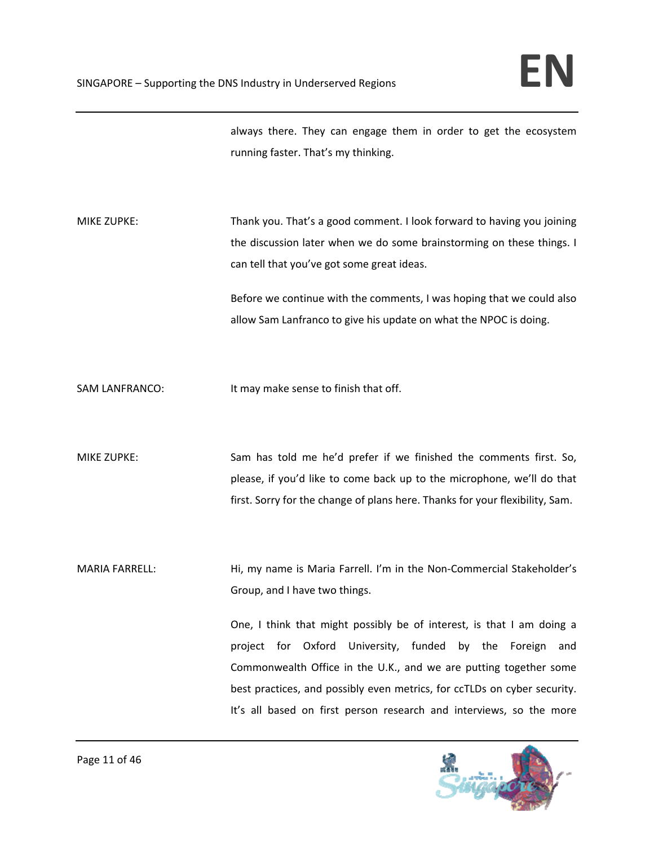always there. They can engage them in order to get the ecosystem running faster. That's my thinking.

MIKE ZUPKE: Thank you. That's a good comment. I look forward to having you joining the discussion later when we do some brainstorming on these things. I can tell that you've got some great ideas.

> Before we continue with the comments, I was hoping that we could also allow Sam Lanfranco to give his update on what the NPOC is doing.

SAM LANFRANCO: It may make sense to finish that off.

MIKE ZUPKE: Sam has told me he'd prefer if we finished the comments first. So, please, if you'd like to come back up to the microphone, we'll do that first. Sorry for the change of plans here. Thanks for your flexibility, Sam.

MARIA FARRELL: 
Hi, my name is Maria Farrell. I'm in the Non-Commercial Stakeholder's Group, and I have two things.

> One, I think that might possibly be of interest, is that I am doing a project for Oxford University, funded by the Foreign and Commonwealth Office in the U.K., and we are putting together some best practices, and possibly even metrics, for ccTLDs on cyber security. It's all based on first person research and interviews, so the more

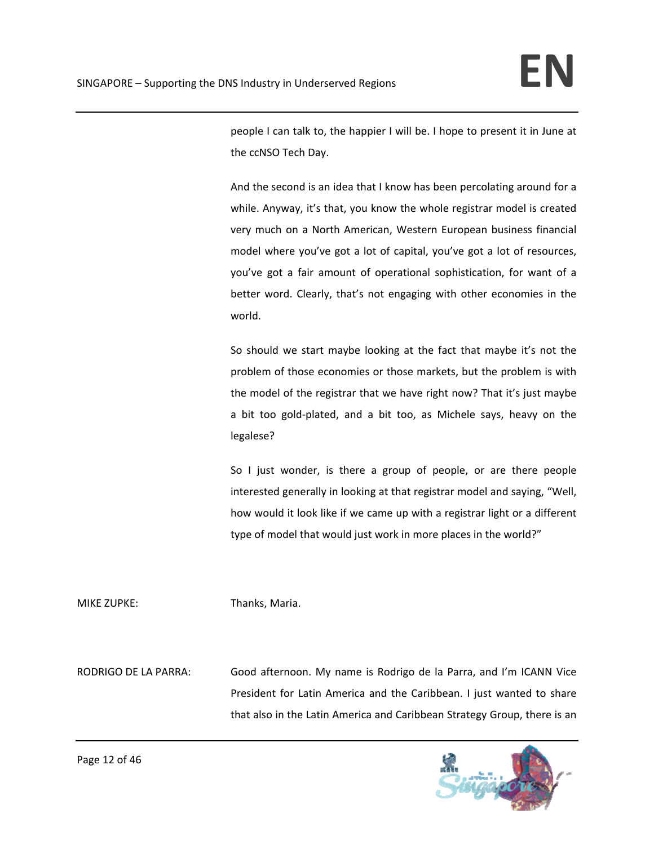people I can talk to, the happier I will be. I hope to present it in June at the ccNSO Tech Day.

And the second is an idea that I know has been percolating around for a while. Anyway, it's that, you know the whole registrar model is created very much on a North American, Western European business financial model where you've got a lot of capital, you've got a lot of resources, you've got a fair amount of operational sophistication, for want of a better word. Clearly, that's not engaging with other economies in the world.

So should we start maybe looking at the fact that maybe it's not the problem of those economies or those markets, but the problem is with the model of the registrar that we have right now? That it's just maybe a bit too gold‐plated, and a bit too, as Michele says, heavy on the legalese?

So I just wonder, is there a group of people, or are there people interested generally in looking at that registrar model and saying, "Well, how would it look like if we came up with a registrar light or a different type of model that would just work in more places in the world?"

MIKE ZUPKE: Thanks, Maria.

RODRIGO DE LA PARRA: Good afternoon. My name is Rodrigo de la Parra, and I'm ICANN Vice President for Latin America and the Caribbean. I just wanted to share that also in the Latin America and Caribbean Strategy Group, there is an

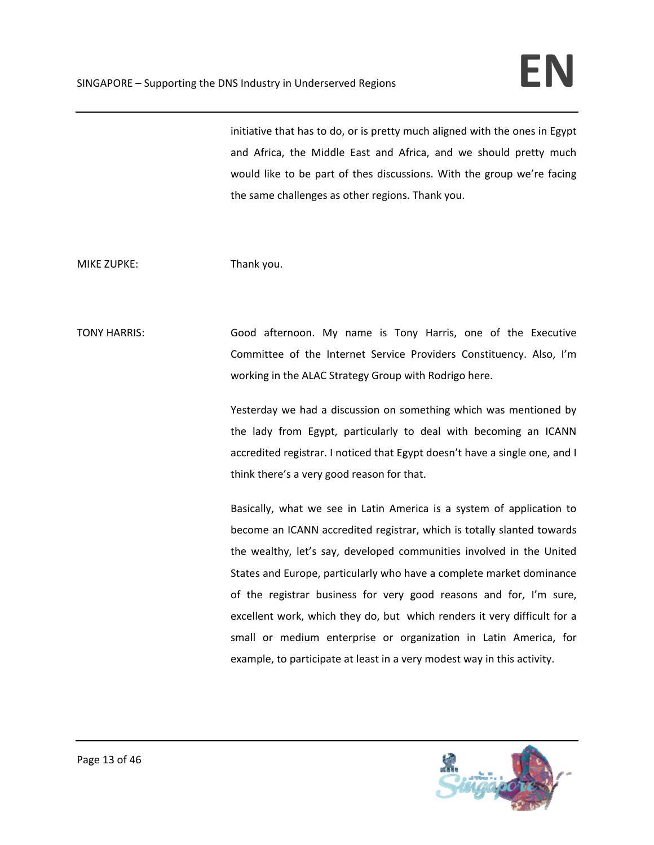initiative that has to do, or is pretty much aligned with the ones in Egypt and Africa, the Middle East and Africa, and we should pretty much would like to be part of thes discussions. With the group we're facing the same challenges as other regions. Thank you.

## MIKE ZUPKE: Thank you.

TONY HARRIS: Good afternoon. My name is Tony Harris, one of the Executive Committee of the Internet Service Providers Constituency. Also, I'm working in the ALAC Strategy Group with Rodrigo here.

> Yesterday we had a discussion on something which was mentioned by the lady from Egypt, particularly to deal with becoming an ICANN accredited registrar. I noticed that Egypt doesn't have a single one, and I think there's a very good reason for that.

> Basically, what we see in Latin America is a system of application to become an ICANN accredited registrar, which is totally slanted towards the wealthy, let's say, developed communities involved in the United States and Europe, particularly who have a complete market dominance of the registrar business for very good reasons and for, I'm sure, excellent work, which they do, but which renders it very difficult for a small or medium enterprise or organization in Latin America, for example, to participate at least in a very modest way in this activity.

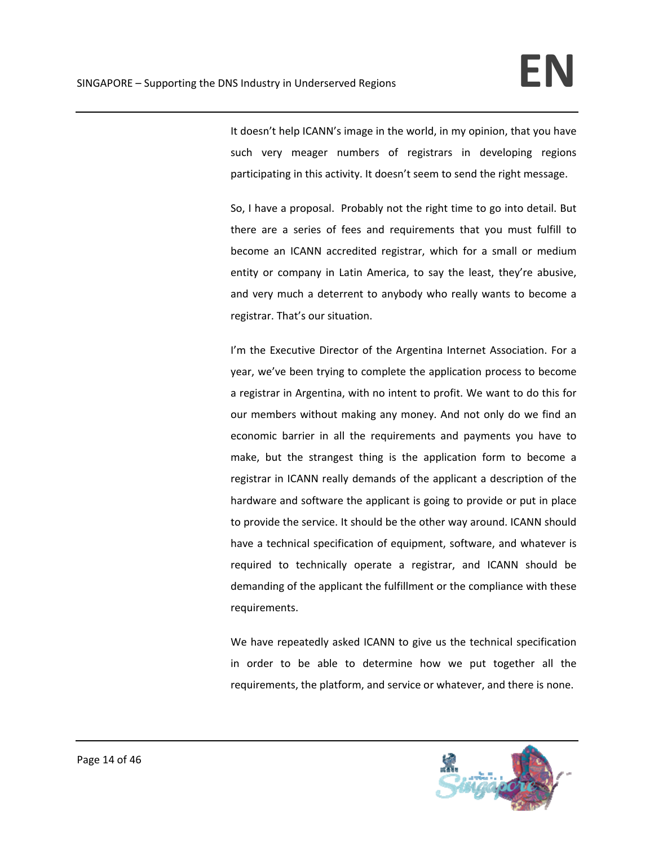It doesn't help ICANN's image in the world, in my opinion, that you have such very meager numbers of registrars in developing regions participating in this activity. It doesn't seem to send the right message.

So, I have a proposal. Probably not the right time to go into detail. But there are a series of fees and requirements that you must fulfill to become an ICANN accredited registrar, which for a small or medium entity or company in Latin America, to say the least, they're abusive, and very much a deterrent to anybody who really wants to become a registrar. That's our situation.

I'm the Executive Director of the Argentina Internet Association. For a year, we've been trying to complete the application process to become a registrar in Argentina, with no intent to profit. We want to do this for our members without making any money. And not only do we find an economic barrier in all the requirements and payments you have to make, but the strangest thing is the application form to become a registrar in ICANN really demands of the applicant a description of the hardware and software the applicant is going to provide or put in place to provide the service. It should be the other way around. ICANN should have a technical specification of equipment, software, and whatever is required to technically operate a registrar, and ICANN should be demanding of the applicant the fulfillment or the compliance with these requirements.

We have repeatedly asked ICANN to give us the technical specification in order to be able to determine how we put together all the requirements, the platform, and service or whatever, and there is none.

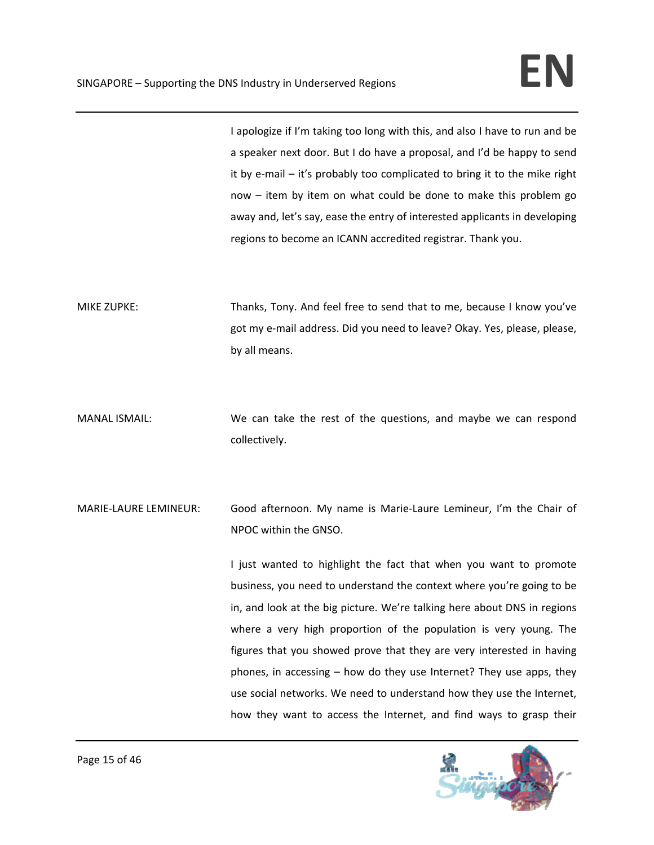I apologize if I'm taking too long with this, and also I have to run and be a speaker next door. But I do have a proposal, and I'd be happy to send it by e‐mail – it's probably too complicated to bring it to the mike right now – item by item on what could be done to make this problem go away and, let's say, ease the entry of interested applicants in developing regions to become an ICANN accredited registrar. Thank you.

MIKE ZUPKE: Thanks, Tony. And feel free to send that to me, because I know you've got my e‐mail address. Did you need to leave? Okay. Yes, please, please, by all means.

- MANAL ISMAIL: We can take the rest of the questions, and maybe we can respond collectively.
- MARIE‐LAURE LEMINEUR: Good afternoon. My name is Marie‐Laure Lemineur, I'm the Chair of NPOC within the GNSO.

I just wanted to highlight the fact that when you want to promote business, you need to understand the context where you're going to be in, and look at the big picture. We're talking here about DNS in regions where a very high proportion of the population is very young. The figures that you showed prove that they are very interested in having phones, in accessing – how do they use Internet? They use apps, they use social networks. We need to understand how they use the Internet, how they want to access the Internet, and find ways to grasp their

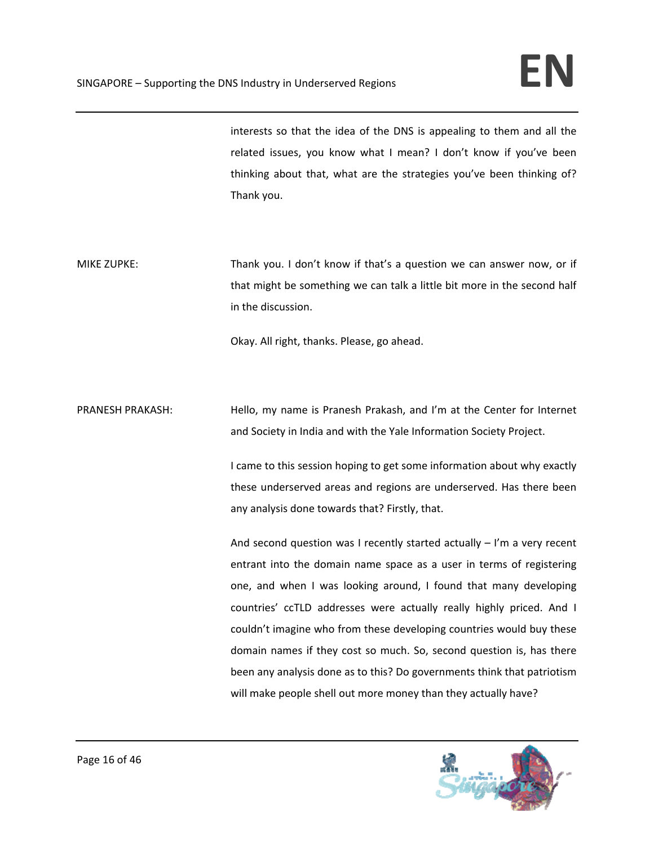interests so that the idea of the DNS is appealing to them and all the related issues, you know what I mean? I don't know if you've been thinking about that, what are the strategies you've been thinking of? Thank you.

MIKE ZUPKE: Thank you. I don't know if that's a question we can answer now, or if that might be something we can talk a little bit more in the second half in the discussion.

Okay. All right, thanks. Please, go ahead.

PRANESH PRAKASH: Hello, my name is Pranesh Prakash, and I'm at the Center for Internet and Society in India and with the Yale Information Society Project.

> I came to this session hoping to get some information about why exactly these underserved areas and regions are underserved. Has there been any analysis done towards that? Firstly, that.

> And second question was I recently started actually – I'm a very recent entrant into the domain name space as a user in terms of registering one, and when I was looking around, I found that many developing countries' ccTLD addresses were actually really highly priced. And I couldn't imagine who from these developing countries would buy these domain names if they cost so much. So, second question is, has there been any analysis done as to this? Do governments think that patriotism will make people shell out more money than they actually have?

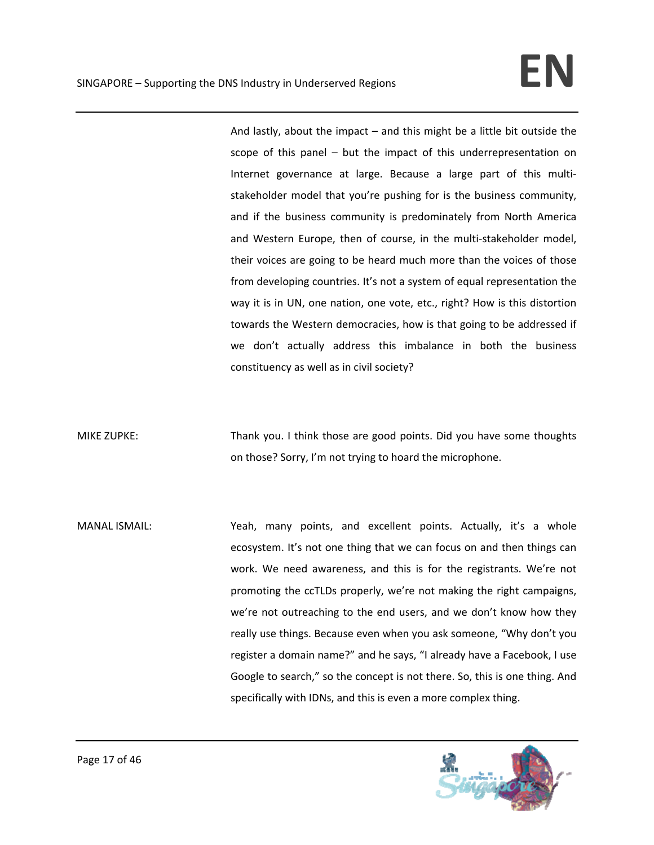And lastly, about the impact – and this might be a little bit outside the scope of this panel – but the impact of this underrepresentation on Internet governance at large. Because a large part of this multi‐ stakeholder model that you're pushing for is the business community, and if the business community is predominately from North America and Western Europe, then of course, in the multi‐stakeholder model, their voices are going to be heard much more than the voices of those from developing countries. It's not a system of equal representation the way it is in UN, one nation, one vote, etc., right? How is this distortion towards the Western democracies, how is that going to be addressed if we don't actually address this imbalance in both the business constituency as well as in civil society?

MIKE ZUPKE: Thank you. I think those are good points. Did you have some thoughts on those? Sorry, I'm not trying to hoard the microphone.

MANAL ISMAIL: Yeah, many points, and excellent points. Actually, it's a whole ecosystem. It's not one thing that we can focus on and then things can work. We need awareness, and this is for the registrants. We're not promoting the ccTLDs properly, we're not making the right campaigns, we're not outreaching to the end users, and we don't know how they really use things. Because even when you ask someone, "Why don't you register a domain name?" and he says, "I already have a Facebook, I use Google to search," so the concept is not there. So, this is one thing. And specifically with IDNs, and this is even a more complex thing.

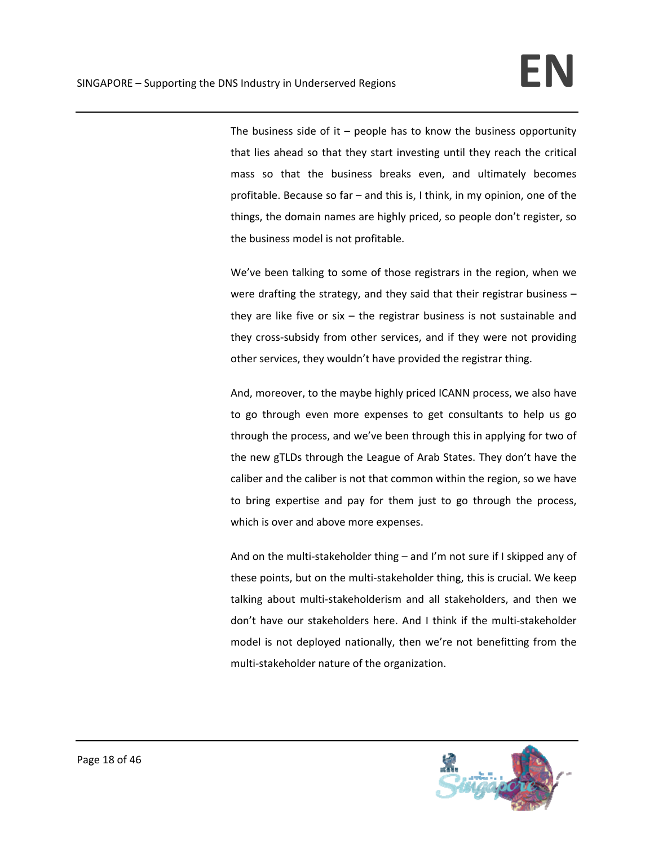The business side of it  $-$  people has to know the business opportunity that lies ahead so that they start investing until they reach the critical mass so that the business breaks even, and ultimately becomes profitable. Because so far – and this is, I think, in my opinion, one of the things, the domain names are highly priced, so people don't register, so the business model is not profitable.

We've been talking to some of those registrars in the region, when we were drafting the strategy, and they said that their registrar business – they are like five or  $six -$  the registrar business is not sustainable and they cross‐subsidy from other services, and if they were not providing other services, they wouldn't have provided the registrar thing.

And, moreover, to the maybe highly priced ICANN process, we also have to go through even more expenses to get consultants to help us go through the process, and we've been through this in applying for two of the new gTLDs through the League of Arab States. They don't have the caliber and the caliber is not that common within the region, so we have to bring expertise and pay for them just to go through the process, which is over and above more expenses.

And on the multi‐stakeholder thing – and I'm not sure if I skipped any of these points, but on the multi‐stakeholder thing, this is crucial. We keep talking about multi‐stakeholderism and all stakeholders, and then we don't have our stakeholders here. And I think if the multi‐stakeholder model is not deployed nationally, then we're not benefitting from the multi‐stakeholder nature of the organization.

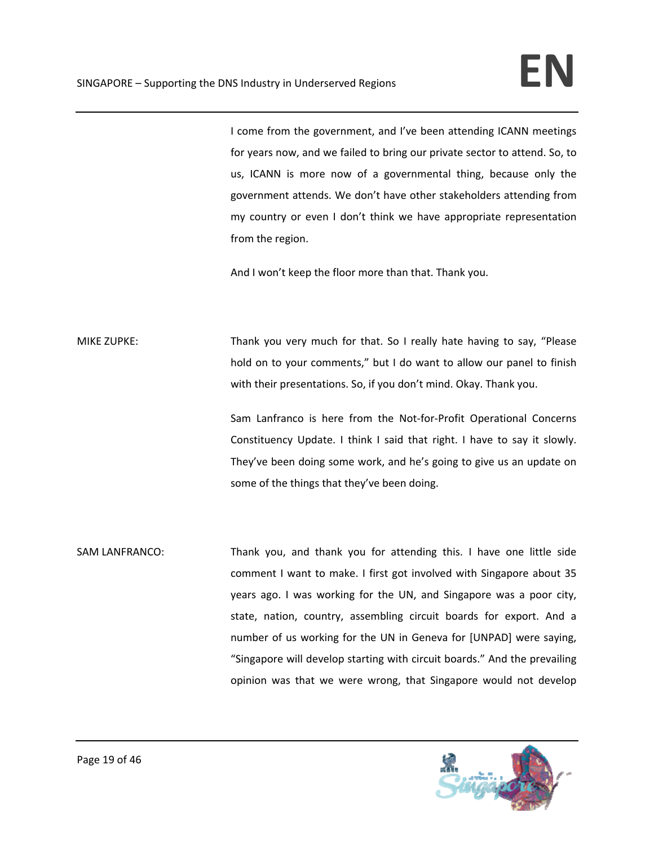I come from the government, and I've been attending ICANN meetings for years now, and we failed to bring our private sector to attend. So, to us, ICANN is more now of a governmental thing, because only the government attends. We don't have other stakeholders attending from my country or even I don't think we have appropriate representation from the region.

And I won't keep the floor more than that. Thank you.

MIKE ZUPKE: Thank you very much for that. So I really hate having to say, "Please hold on to your comments," but I do want to allow our panel to finish with their presentations. So, if you don't mind. Okay. Thank you.

> Sam Lanfranco is here from the Not‐for‐Profit Operational Concerns Constituency Update. I think I said that right. I have to say it slowly. They've been doing some work, and he's going to give us an update on some of the things that they've been doing.

SAM LANFRANCO: Thank you, and thank you for attending this. I have one little side comment I want to make. I first got involved with Singapore about 35 years ago. I was working for the UN, and Singapore was a poor city, state, nation, country, assembling circuit boards for export. And a number of us working for the UN in Geneva for [UNPAD] were saying, "Singapore will develop starting with circuit boards." And the prevailing opinion was that we were wrong, that Singapore would not develop

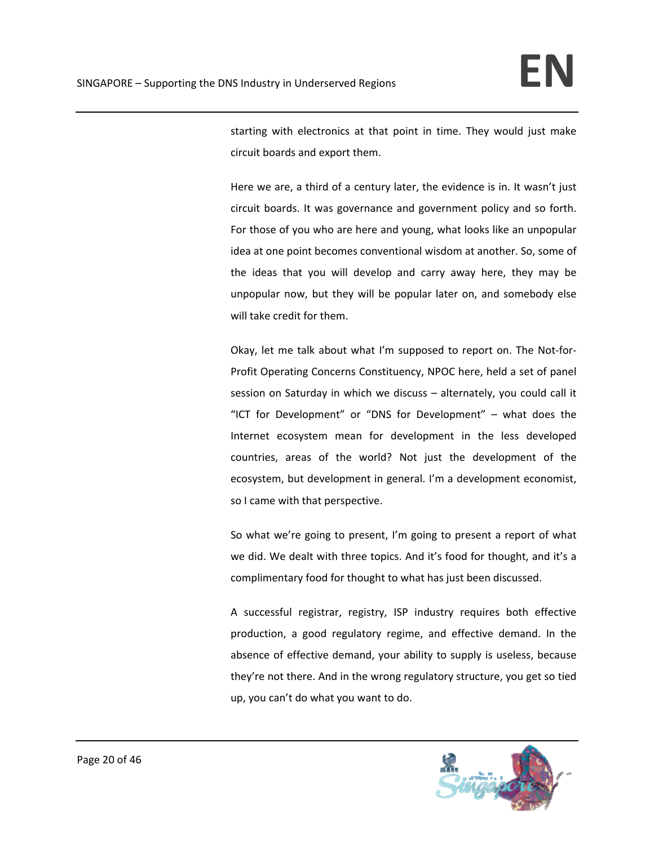starting with electronics at that point in time. They would just make circuit boards and export them.

Here we are, a third of a century later, the evidence is in. It wasn't just circuit boards. It was governance and government policy and so forth. For those of you who are here and young, what looks like an unpopular idea at one point becomes conventional wisdom at another. So, some of the ideas that you will develop and carry away here, they may be unpopular now, but they will be popular later on, and somebody else will take credit for them.

Okay, let me talk about what I'm supposed to report on. The Not‐for‐ Profit Operating Concerns Constituency, NPOC here, held a set of panel session on Saturday in which we discuss – alternately, you could call it "ICT for Development" or "DNS for Development" – what does the Internet ecosystem mean for development in the less developed countries, areas of the world? Not just the development of the ecosystem, but development in general. I'm a development economist, so I came with that perspective.

So what we're going to present, I'm going to present a report of what we did. We dealt with three topics. And it's food for thought, and it's a complimentary food for thought to what has just been discussed.

A successful registrar, registry, ISP industry requires both effective production, a good regulatory regime, and effective demand. In the absence of effective demand, your ability to supply is useless, because they're not there. And in the wrong regulatory structure, you get so tied up, you can't do what you want to do.

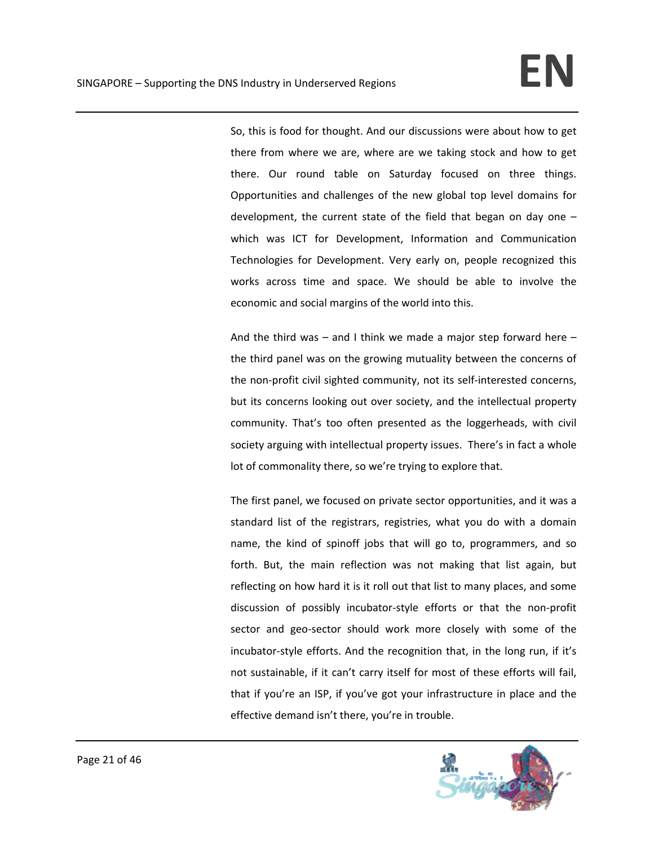So, this is food for thought. And our discussions were about how to get there from where we are, where are we taking stock and how to get there. Our round table on Saturday focused on three things. Opportunities and challenges of the new global top level domains for development, the current state of the field that began on day one – which was ICT for Development, Information and Communication Technologies for Development. Very early on, people recognized this works across time and space. We should be able to involve the economic and social margins of the world into this.

And the third was  $-$  and I think we made a major step forward here  $$ the third panel was on the growing mutuality between the concerns of the non‐profit civil sighted community, not its self‐interested concerns, but its concerns looking out over society, and the intellectual property community. That's too often presented as the loggerheads, with civil society arguing with intellectual property issues. There's in fact a whole lot of commonality there, so we're trying to explore that.

The first panel, we focused on private sector opportunities, and it was a standard list of the registrars, registries, what you do with a domain name, the kind of spinoff jobs that will go to, programmers, and so forth. But, the main reflection was not making that list again, but reflecting on how hard it is it roll out that list to many places, and some discussion of possibly incubator‐style efforts or that the non‐profit sector and geo-sector should work more closely with some of the incubator‐style efforts. And the recognition that, in the long run, if it's not sustainable, if it can't carry itself for most of these efforts will fail, that if you're an ISP, if you've got your infrastructure in place and the effective demand isn't there, you're in trouble.

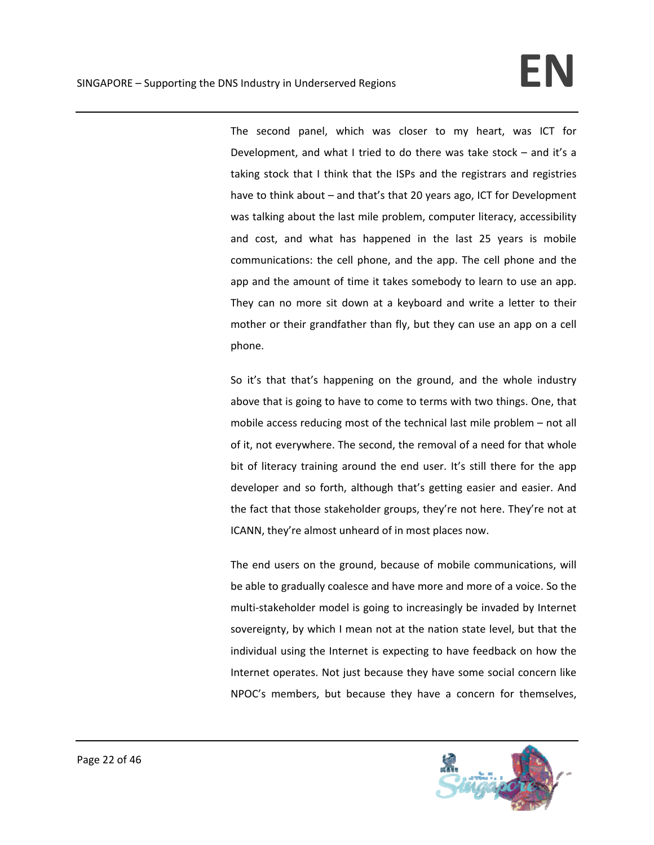The second panel, which was closer to my heart, was ICT for Development, and what I tried to do there was take stock – and it's a taking stock that I think that the ISPs and the registrars and registries have to think about – and that's that 20 years ago, ICT for Development was talking about the last mile problem, computer literacy, accessibility and cost, and what has happened in the last 25 years is mobile communications: the cell phone, and the app. The cell phone and the app and the amount of time it takes somebody to learn to use an app. They can no more sit down at a keyboard and write a letter to their mother or their grandfather than fly, but they can use an app on a cell phone.

So it's that that's happening on the ground, and the whole industry above that is going to have to come to terms with two things. One, that mobile access reducing most of the technical last mile problem – not all of it, not everywhere. The second, the removal of a need for that whole bit of literacy training around the end user. It's still there for the app developer and so forth, although that's getting easier and easier. And the fact that those stakeholder groups, they're not here. They're not at ICANN, they're almost unheard of in most places now.

The end users on the ground, because of mobile communications, will be able to gradually coalesce and have more and more of a voice. So the multi‐stakeholder model is going to increasingly be invaded by Internet sovereignty, by which I mean not at the nation state level, but that the individual using the Internet is expecting to have feedback on how the Internet operates. Not just because they have some social concern like NPOC's members, but because they have a concern for themselves,

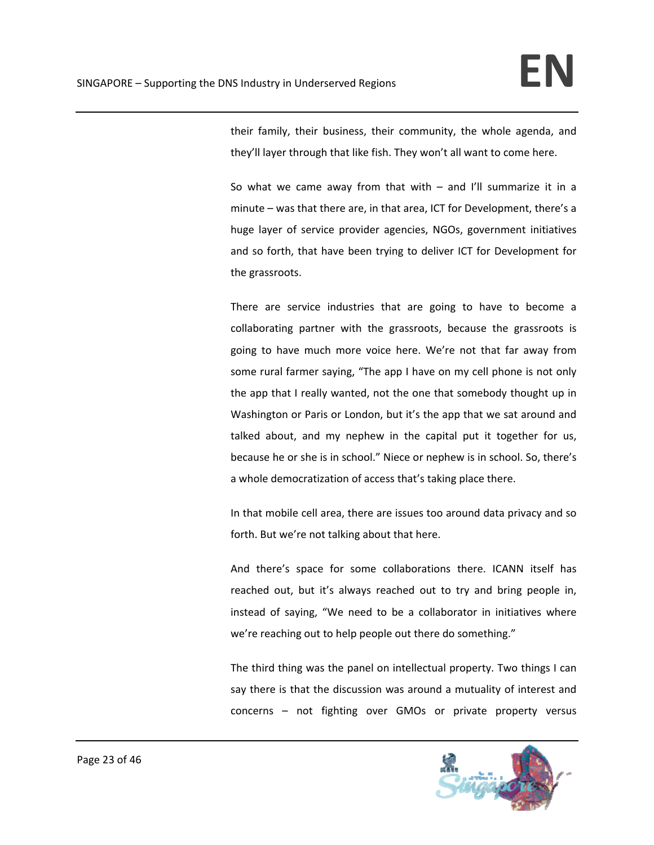their family, their business, their community, the whole agenda, and they'll layer through that like fish. They won't all want to come here.

So what we came away from that with  $-$  and I'll summarize it in a minute – was that there are, in that area, ICT for Development, there's a huge layer of service provider agencies, NGOs, government initiatives and so forth, that have been trying to deliver ICT for Development for the grassroots.

There are service industries that are going to have to become a collaborating partner with the grassroots, because the grassroots is going to have much more voice here. We're not that far away from some rural farmer saying, "The app I have on my cell phone is not only the app that I really wanted, not the one that somebody thought up in Washington or Paris or London, but it's the app that we sat around and talked about, and my nephew in the capital put it together for us, because he or she is in school." Niece or nephew is in school. So, there's a whole democratization of access that's taking place there.

In that mobile cell area, there are issues too around data privacy and so forth. But we're not talking about that here.

And there's space for some collaborations there. ICANN itself has reached out, but it's always reached out to try and bring people in, instead of saying, "We need to be a collaborator in initiatives where we're reaching out to help people out there do something."

The third thing was the panel on intellectual property. Two things I can say there is that the discussion was around a mutuality of interest and concerns – not fighting over GMOs or private property versus

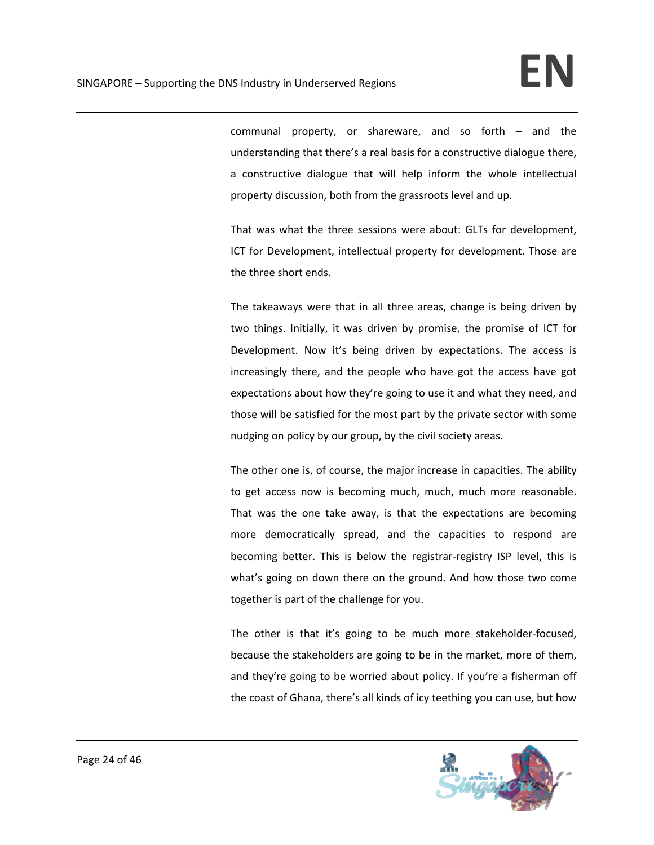communal property, or shareware, and so forth – and the understanding that there's a real basis for a constructive dialogue there, a constructive dialogue that will help inform the whole intellectual property discussion, both from the grassroots level and up.

That was what the three sessions were about: GLTs for development, ICT for Development, intellectual property for development. Those are the three short ends.

The takeaways were that in all three areas, change is being driven by two things. Initially, it was driven by promise, the promise of ICT for Development. Now it's being driven by expectations. The access is increasingly there, and the people who have got the access have got expectations about how they're going to use it and what they need, and those will be satisfied for the most part by the private sector with some nudging on policy by our group, by the civil society areas.

The other one is, of course, the major increase in capacities. The ability to get access now is becoming much, much, much more reasonable. That was the one take away, is that the expectations are becoming more democratically spread, and the capacities to respond are becoming better. This is below the registrar-registry ISP level, this is what's going on down there on the ground. And how those two come together is part of the challenge for you.

The other is that it's going to be much more stakeholder‐focused, because the stakeholders are going to be in the market, more of them, and they're going to be worried about policy. If you're a fisherman off the coast of Ghana, there's all kinds of icy teething you can use, but how

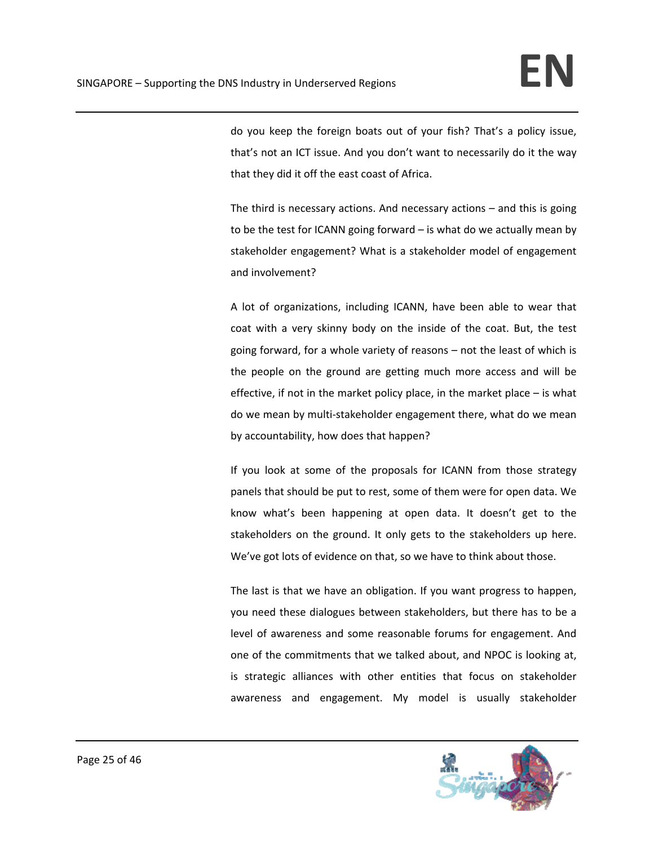do you keep the foreign boats out of your fish? That's a policy issue, that's not an ICT issue. And you don't want to necessarily do it the way that they did it off the east coast of Africa.

The third is necessary actions. And necessary actions – and this is going to be the test for ICANN going forward – is what do we actually mean by stakeholder engagement? What is a stakeholder model of engagement and involvement?

A lot of organizations, including ICANN, have been able to wear that coat with a very skinny body on the inside of the coat. But, the test going forward, for a whole variety of reasons – not the least of which is the people on the ground are getting much more access and will be effective, if not in the market policy place, in the market place – is what do we mean by multi‐stakeholder engagement there, what do we mean by accountability, how does that happen?

If you look at some of the proposals for ICANN from those strategy panels that should be put to rest, some of them were for open data. We know what's been happening at open data. It doesn't get to the stakeholders on the ground. It only gets to the stakeholders up here. We've got lots of evidence on that, so we have to think about those.

The last is that we have an obligation. If you want progress to happen, you need these dialogues between stakeholders, but there has to be a level of awareness and some reasonable forums for engagement. And one of the commitments that we talked about, and NPOC is looking at, is strategic alliances with other entities that focus on stakeholder awareness and engagement. My model is usually stakeholder

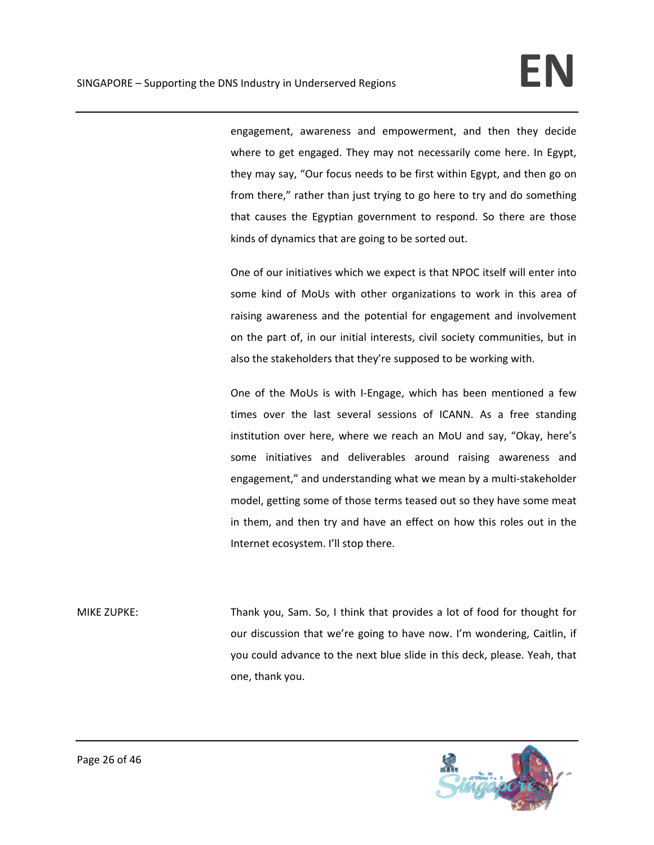engagement, awareness and empowerment, and then they decide where to get engaged. They may not necessarily come here. In Egypt, they may say, "Our focus needs to be first within Egypt, and then go on from there," rather than just trying to go here to try and do something that causes the Egyptian government to respond. So there are those kinds of dynamics that are going to be sorted out.

One of our initiatives which we expect is that NPOC itself will enter into some kind of MoUs with other organizations to work in this area of raising awareness and the potential for engagement and involvement on the part of, in our initial interests, civil society communities, but in also the stakeholders that they're supposed to be working with.

One of the MoUs is with I-Engage, which has been mentioned a few times over the last several sessions of ICANN. As a free standing institution over here, where we reach an MoU and say, "Okay, here's some initiatives and deliverables around raising awareness and engagement," and understanding what we mean by a multi‐stakeholder model, getting some of those terms teased out so they have some meat in them, and then try and have an effect on how this roles out in the Internet ecosystem. I'll stop there.

MIKE ZUPKE: Thank you, Sam. So, I think that provides a lot of food for thought for our discussion that we're going to have now. I'm wondering, Caitlin, if you could advance to the next blue slide in this deck, please. Yeah, that one, thank you.

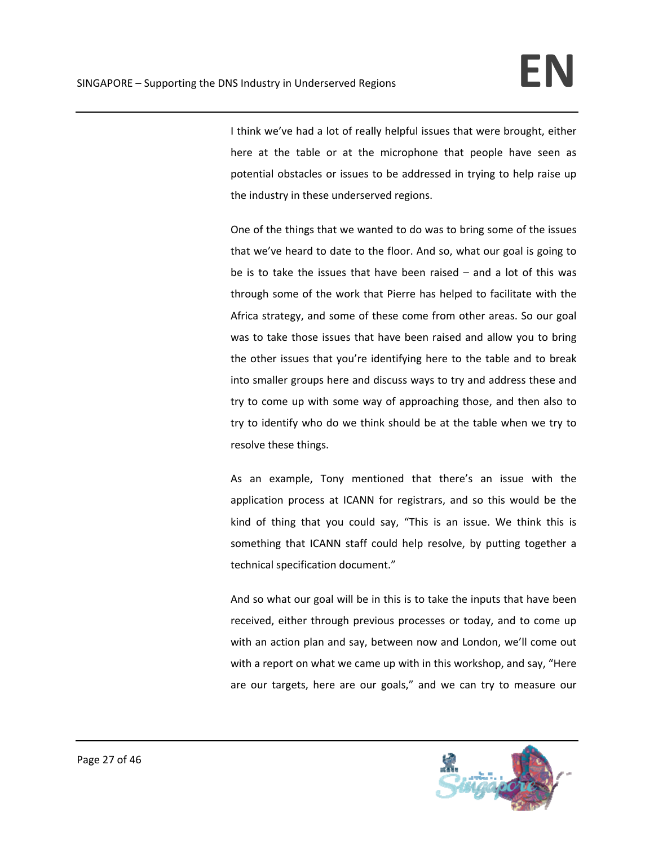I think we've had a lot of really helpful issues that were brought, either here at the table or at the microphone that people have seen as potential obstacles or issues to be addressed in trying to help raise up the industry in these underserved regions.

One of the things that we wanted to do was to bring some of the issues that we've heard to date to the floor. And so, what our goal is going to be is to take the issues that have been raised – and a lot of this was through some of the work that Pierre has helped to facilitate with the Africa strategy, and some of these come from other areas. So our goal was to take those issues that have been raised and allow you to bring the other issues that you're identifying here to the table and to break into smaller groups here and discuss ways to try and address these and try to come up with some way of approaching those, and then also to try to identify who do we think should be at the table when we try to resolve these things.

As an example, Tony mentioned that there's an issue with the application process at ICANN for registrars, and so this would be the kind of thing that you could say, "This is an issue. We think this is something that ICANN staff could help resolve, by putting together a technical specification document."

And so what our goal will be in this is to take the inputs that have been received, either through previous processes or today, and to come up with an action plan and say, between now and London, we'll come out with a report on what we came up with in this workshop, and say, "Here are our targets, here are our goals," and we can try to measure our

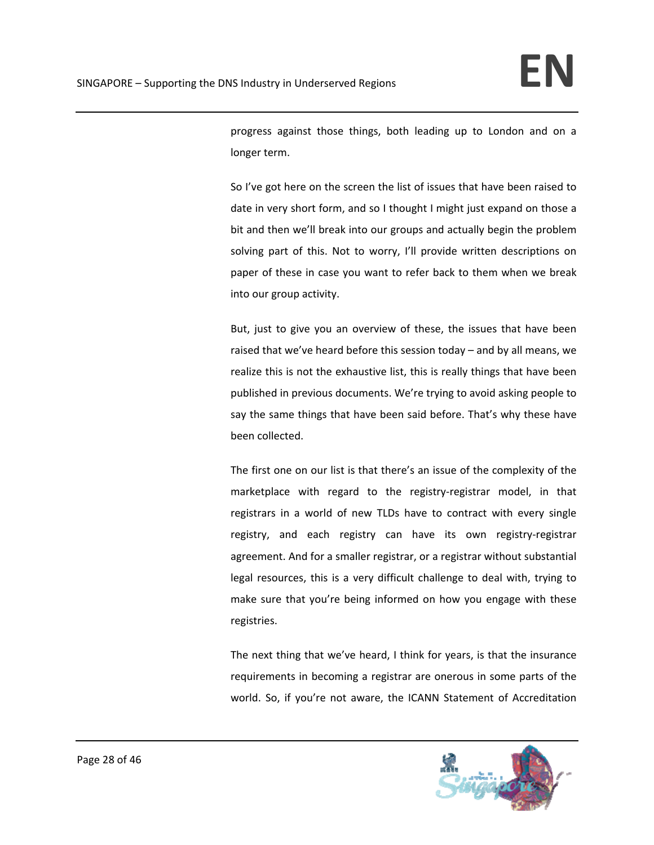progress against those things, both leading up to London and on a longer term.

So I've got here on the screen the list of issues that have been raised to date in very short form, and so I thought I might just expand on those a bit and then we'll break into our groups and actually begin the problem solving part of this. Not to worry, I'll provide written descriptions on paper of these in case you want to refer back to them when we break into our group activity.

But, just to give you an overview of these, the issues that have been raised that we've heard before this session today – and by all means, we realize this is not the exhaustive list, this is really things that have been published in previous documents. We're trying to avoid asking people to say the same things that have been said before. That's why these have been collected.

The first one on our list is that there's an issue of the complexity of the marketplace with regard to the registry-registrar model, in that registrars in a world of new TLDs have to contract with every single registry, and each registry can have its own registry‐registrar agreement. And for a smaller registrar, or a registrar without substantial legal resources, this is a very difficult challenge to deal with, trying to make sure that you're being informed on how you engage with these registries.

The next thing that we've heard, I think for years, is that the insurance requirements in becoming a registrar are onerous in some parts of the world. So, if you're not aware, the ICANN Statement of Accreditation

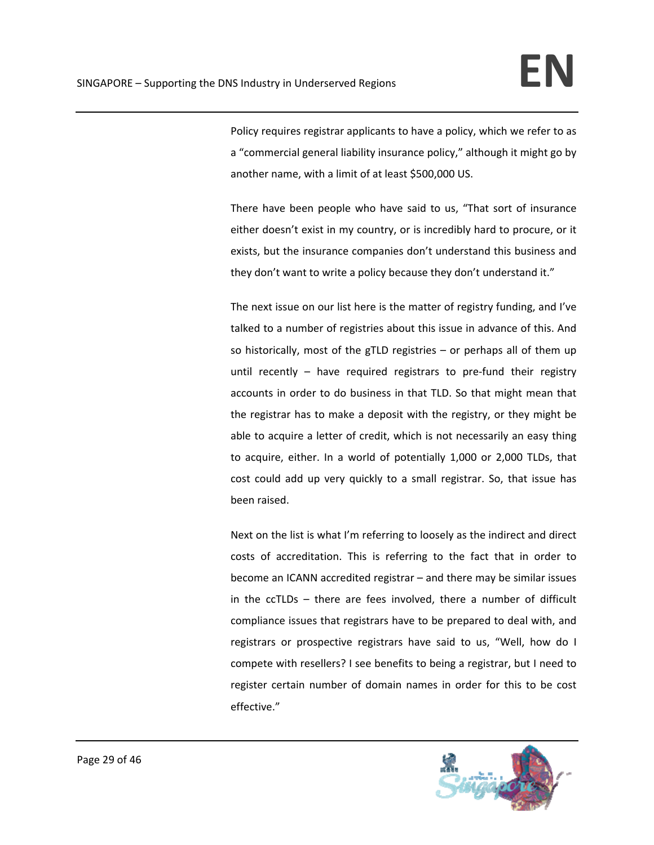Policy requires registrar applicants to have a policy, which we refer to as a "commercial general liability insurance policy," although it might go by another name, with a limit of at least \$500,000 US.

There have been people who have said to us, "That sort of insurance either doesn't exist in my country, or is incredibly hard to procure, or it exists, but the insurance companies don't understand this business and they don't want to write a policy because they don't understand it."

The next issue on our list here is the matter of registry funding, and I've talked to a number of registries about this issue in advance of this. And so historically, most of the gTLD registries – or perhaps all of them up until recently – have required registrars to pre-fund their registry accounts in order to do business in that TLD. So that might mean that the registrar has to make a deposit with the registry, or they might be able to acquire a letter of credit, which is not necessarily an easy thing to acquire, either. In a world of potentially 1,000 or 2,000 TLDs, that cost could add up very quickly to a small registrar. So, that issue has been raised.

Next on the list is what I'm referring to loosely as the indirect and direct costs of accreditation. This is referring to the fact that in order to become an ICANN accredited registrar – and there may be similar issues in the ccTLDs – there are fees involved, there a number of difficult compliance issues that registrars have to be prepared to deal with, and registrars or prospective registrars have said to us, "Well, how do I compete with resellers? I see benefits to being a registrar, but I need to register certain number of domain names in order for this to be cost effective."

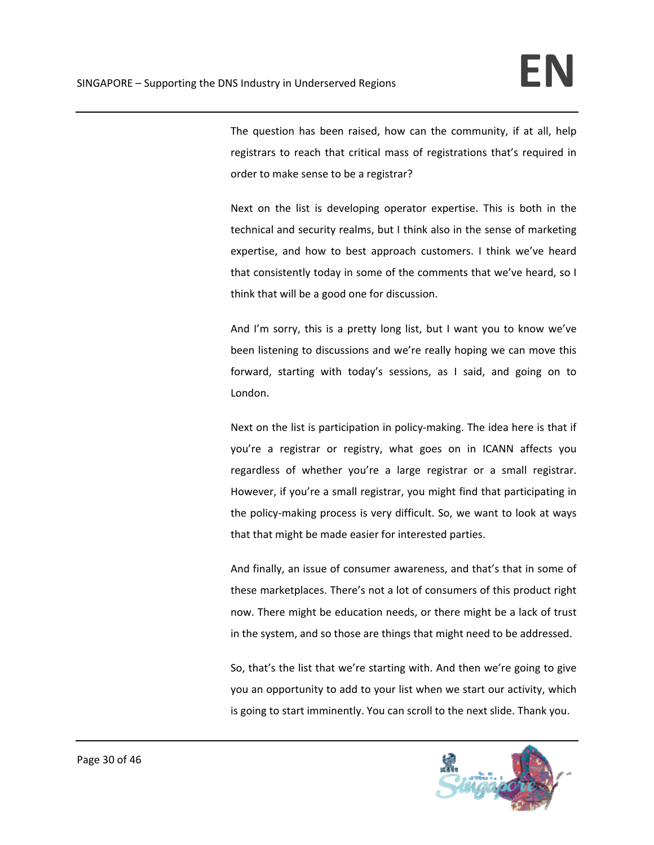The question has been raised, how can the community, if at all, help registrars to reach that critical mass of registrations that's required in order to make sense to be a registrar?

Next on the list is developing operator expertise. This is both in the technical and security realms, but I think also in the sense of marketing expertise, and how to best approach customers. I think we've heard that consistently today in some of the comments that we've heard, so I think that will be a good one for discussion.

And I'm sorry, this is a pretty long list, but I want you to know we've been listening to discussions and we're really hoping we can move this forward, starting with today's sessions, as I said, and going on to London.

Next on the list is participation in policy‐making. The idea here is that if you're a registrar or registry, what goes on in ICANN affects you regardless of whether you're a large registrar or a small registrar. However, if you're a small registrar, you might find that participating in the policy‐making process is very difficult. So, we want to look at ways that that might be made easier for interested parties.

And finally, an issue of consumer awareness, and that's that in some of these marketplaces. There's not a lot of consumers of this product right now. There might be education needs, or there might be a lack of trust in the system, and so those are things that might need to be addressed.

So, that's the list that we're starting with. And then we're going to give you an opportunity to add to your list when we start our activity, which is going to start imminently. You can scroll to the next slide. Thank you.

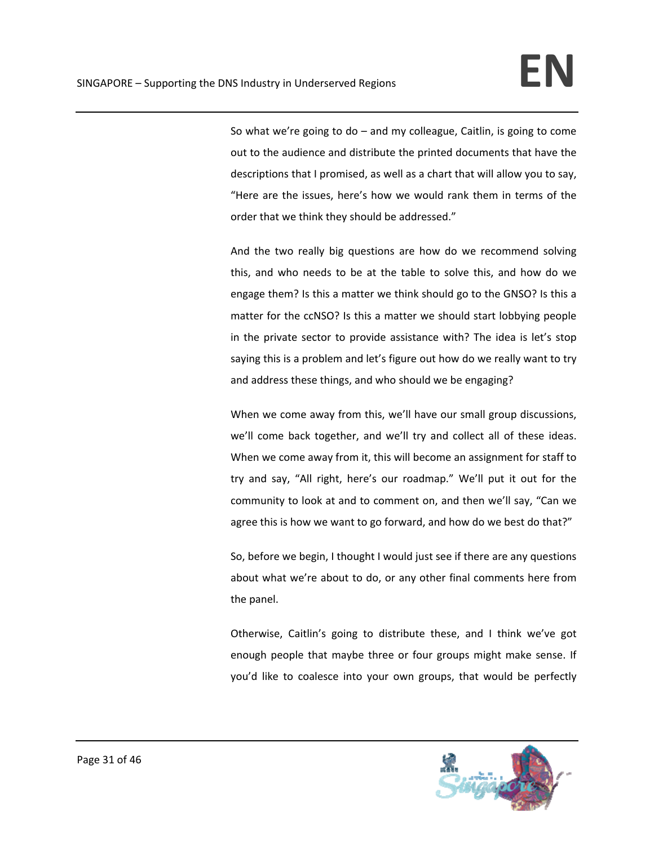So what we're going to do – and my colleague, Caitlin, is going to come out to the audience and distribute the printed documents that have the descriptions that I promised, as well as a chart that will allow you to say, "Here are the issues, here's how we would rank them in terms of the order that we think they should be addressed."

And the two really big questions are how do we recommend solving this, and who needs to be at the table to solve this, and how do we engage them? Is this a matter we think should go to the GNSO? Is this a matter for the ccNSO? Is this a matter we should start lobbying people in the private sector to provide assistance with? The idea is let's stop saying this is a problem and let's figure out how do we really want to try and address these things, and who should we be engaging?

When we come away from this, we'll have our small group discussions, we'll come back together, and we'll try and collect all of these ideas. When we come away from it, this will become an assignment for staff to try and say, "All right, here's our roadmap." We'll put it out for the community to look at and to comment on, and then we'll say, "Can we agree this is how we want to go forward, and how do we best do that?"

So, before we begin, I thought I would just see if there are any questions about what we're about to do, or any other final comments here from the panel.

Otherwise, Caitlin's going to distribute these, and I think we've got enough people that maybe three or four groups might make sense. If you'd like to coalesce into your own groups, that would be perfectly

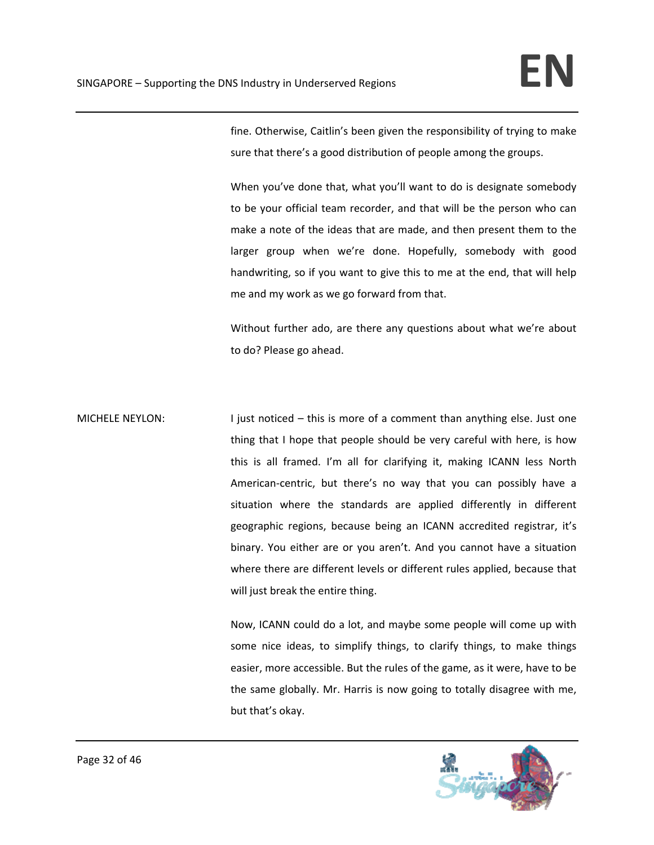fine. Otherwise, Caitlin's been given the responsibility of trying to make sure that there's a good distribution of people among the groups.

When you've done that, what you'll want to do is designate somebody to be your official team recorder, and that will be the person who can make a note of the ideas that are made, and then present them to the larger group when we're done. Hopefully, somebody with good handwriting, so if you want to give this to me at the end, that will help me and my work as we go forward from that.

Without further ado, are there any questions about what we're about to do? Please go ahead.

MICHELE NEYLON: I just noticed – this is more of a comment than anything else. Just one thing that I hope that people should be very careful with here, is how this is all framed. I'm all for clarifying it, making ICANN less North American‐centric, but there's no way that you can possibly have a situation where the standards are applied differently in different geographic regions, because being an ICANN accredited registrar, it's binary. You either are or you aren't. And you cannot have a situation where there are different levels or different rules applied, because that will just break the entire thing.

> Now, ICANN could do a lot, and maybe some people will come up with some nice ideas, to simplify things, to clarify things, to make things easier, more accessible. But the rules of the game, as it were, have to be the same globally. Mr. Harris is now going to totally disagree with me, but that's okay.

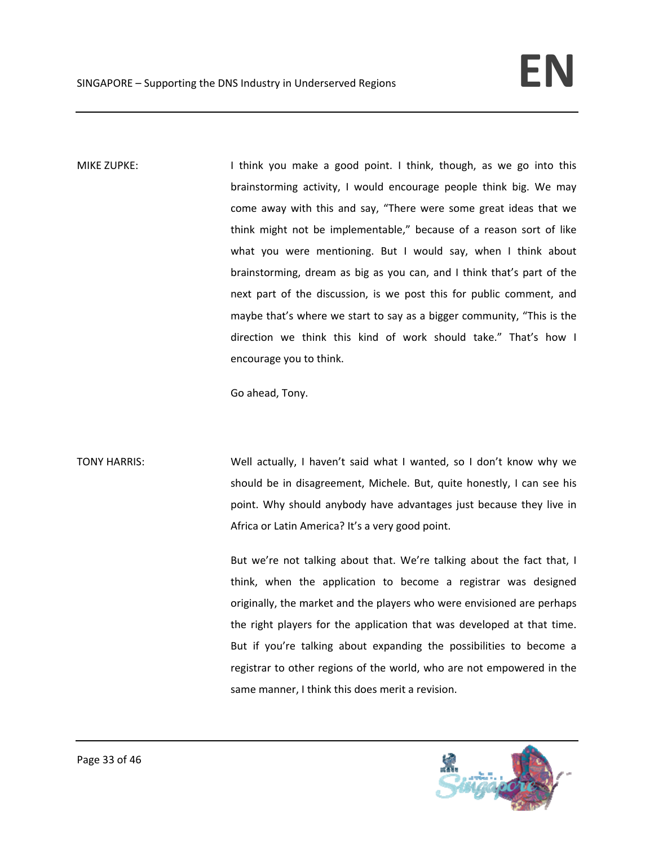MIKE ZUPKE: Internal think you make a good point. I think, though, as we go into this brainstorming activity, I would encourage people think big. We may come away with this and say, "There were some great ideas that we think might not be implementable," because of a reason sort of like what you were mentioning. But I would say, when I think about brainstorming, dream as big as you can, and I think that's part of the next part of the discussion, is we post this for public comment, and maybe that's where we start to say as a bigger community, "This is the direction we think this kind of work should take." That's how I encourage you to think.

Go ahead, Tony.

TONY HARRIS: Well actually, I haven't said what I wanted, so I don't know why we should be in disagreement, Michele. But, quite honestly, I can see his point. Why should anybody have advantages just because they live in Africa or Latin America? It's a very good point.

> But we're not talking about that. We're talking about the fact that, I think, when the application to become a registrar was designed originally, the market and the players who were envisioned are perhaps the right players for the application that was developed at that time. But if you're talking about expanding the possibilities to become a registrar to other regions of the world, who are not empowered in the same manner, I think this does merit a revision.

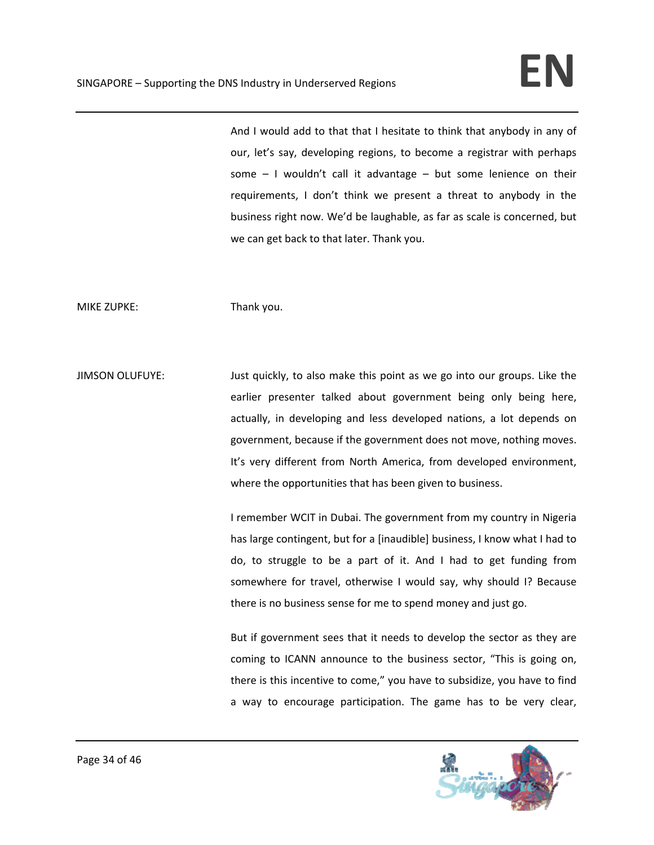And I would add to that that I hesitate to think that anybody in any of our, let's say, developing regions, to become a registrar with perhaps some  $-1$  wouldn't call it advantage  $-$  but some lenience on their requirements, I don't think we present a threat to anybody in the business right now. We'd be laughable, as far as scale is concerned, but we can get back to that later. Thank you.

MIKE ZUPKE: Thank you.

JIMSON OLUFUYE: Just quickly, to also make this point as we go into our groups. Like the earlier presenter talked about government being only being here, actually, in developing and less developed nations, a lot depends on government, because if the government does not move, nothing moves. It's very different from North America, from developed environment, where the opportunities that has been given to business.

> I remember WCIT in Dubai. The government from my country in Nigeria has large contingent, but for a [inaudible] business, I know what I had to do, to struggle to be a part of it. And I had to get funding from somewhere for travel, otherwise I would say, why should I? Because there is no business sense for me to spend money and just go.

> But if government sees that it needs to develop the sector as they are coming to ICANN announce to the business sector, "This is going on, there is this incentive to come," you have to subsidize, you have to find a way to encourage participation. The game has to be very clear,

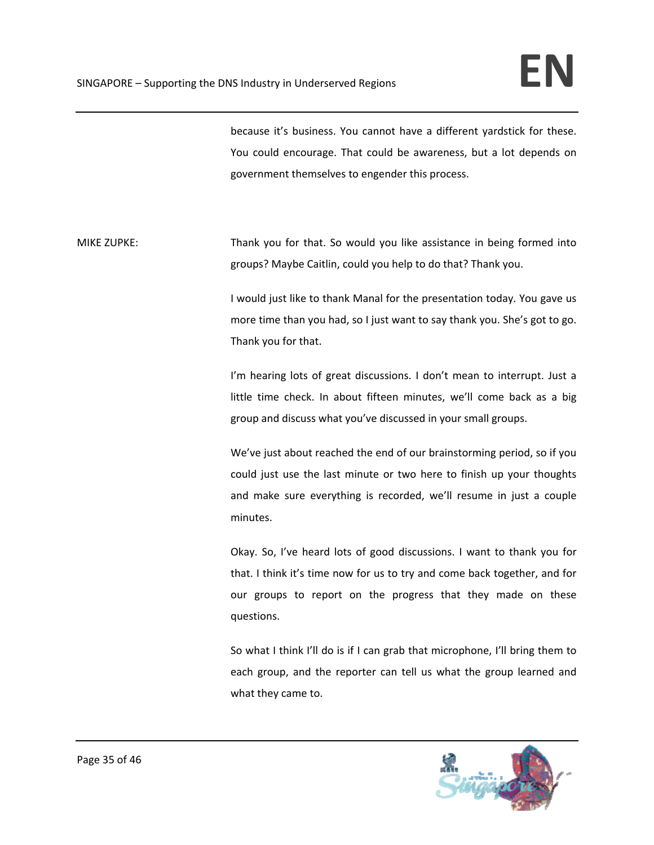because it's business. You cannot have a different yardstick for these. You could encourage. That could be awareness, but a lot depends on government themselves to engender this process.

MIKE ZUPKE: Thank you for that. So would you like assistance in being formed into groups? Maybe Caitlin, could you help to do that? Thank you.

> I would just like to thank Manal for the presentation today. You gave us more time than you had, so I just want to say thank you. She's got to go. Thank you for that.

> I'm hearing lots of great discussions. I don't mean to interrupt. Just a little time check. In about fifteen minutes, we'll come back as a big group and discuss what you've discussed in your small groups.

> We've just about reached the end of our brainstorming period, so if you could just use the last minute or two here to finish up your thoughts and make sure everything is recorded, we'll resume in just a couple minutes.

> Okay. So, I've heard lots of good discussions. I want to thank you for that. I think it's time now for us to try and come back together, and for our groups to report on the progress that they made on these questions.

> So what I think I'll do is if I can grab that microphone, I'll bring them to each group, and the reporter can tell us what the group learned and what they came to.

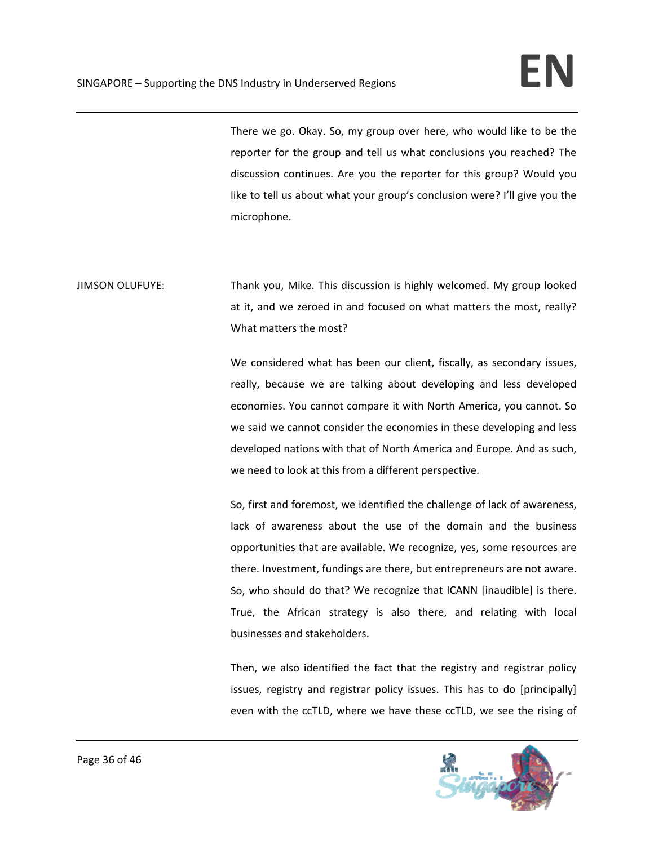There we go. Okay. So, my group over here, who would like to be the reporter for the group and tell us what conclusions you reached? The discussion continues. Are you the reporter for this group? Would you like to tell us about what your group's conclusion were? I'll give you the microphone.

JIMSON OLUFUYE: Thank you, Mike. This discussion is highly welcomed. My group looked at it, and we zeroed in and focused on what matters the most, really? What matters the most?

> We considered what has been our client, fiscally, as secondary issues, really, because we are talking about developing and less developed economies. You cannot compare it with North America, you cannot. So we said we cannot consider the economies in these developing and less developed nations with that of North America and Europe. And as such, we need to look at this from a different perspective.

> So, first and foremost, we identified the challenge of lack of awareness, lack of awareness about the use of the domain and the business opportunities that are available. We recognize, yes, some resources are there. Investment, fundings are there, but entrepreneurs are not aware. So, who should do that? We recognize that ICANN [inaudible] is there. True, the African strategy is also there, and relating with local businesses and stakeholders.

> Then, we also identified the fact that the registry and registrar policy issues, registry and registrar policy issues. This has to do [principally] even with the ccTLD, where we have these ccTLD, we see the rising of

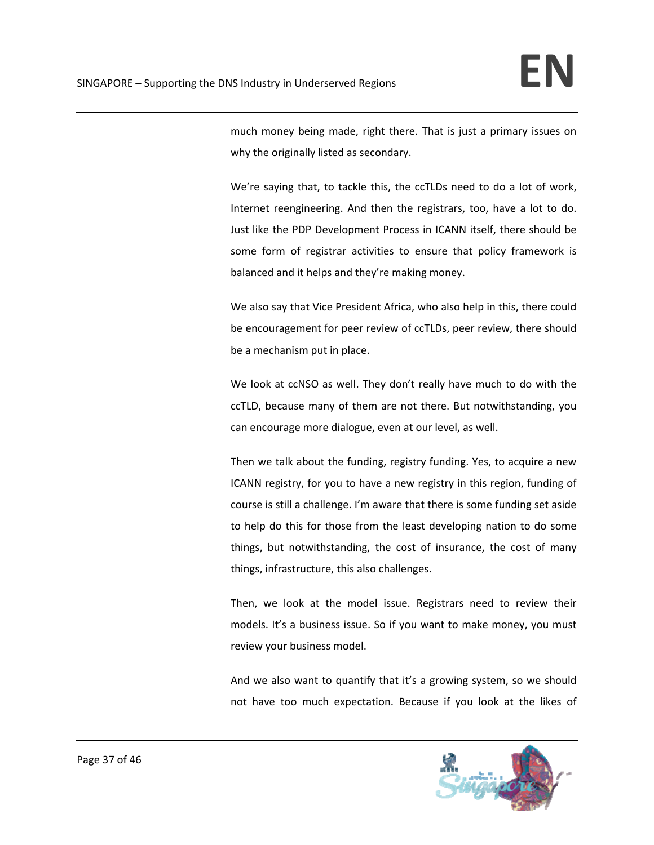much money being made, right there. That is just a primary issues on why the originally listed as secondary.

We're saying that, to tackle this, the ccTLDs need to do a lot of work, Internet reengineering. And then the registrars, too, have a lot to do. Just like the PDP Development Process in ICANN itself, there should be some form of registrar activities to ensure that policy framework is balanced and it helps and they're making money.

We also say that Vice President Africa, who also help in this, there could be encouragement for peer review of ccTLDs, peer review, there should be a mechanism put in place.

We look at ccNSO as well. They don't really have much to do with the ccTLD, because many of them are not there. But notwithstanding, you can encourage more dialogue, even at our level, as well.

Then we talk about the funding, registry funding. Yes, to acquire a new ICANN registry, for you to have a new registry in this region, funding of course is still a challenge. I'm aware that there is some funding set aside to help do this for those from the least developing nation to do some things, but notwithstanding, the cost of insurance, the cost of many things, infrastructure, this also challenges.

Then, we look at the model issue. Registrars need to review their models. It's a business issue. So if you want to make money, you must review your business model.

And we also want to quantify that it's a growing system, so we should not have too much expectation. Because if you look at the likes of

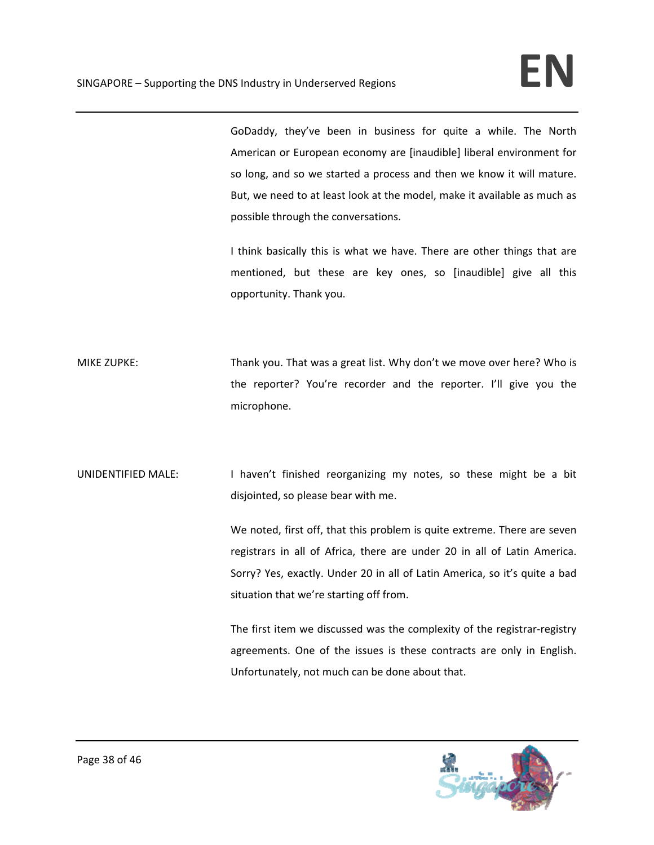GoDaddy, they've been in business for quite a while. The North American or European economy are [inaudible] liberal environment for so long, and so we started a process and then we know it will mature. But, we need to at least look at the model, make it available as much as possible through the conversations.

I think basically this is what we have. There are other things that are mentioned, but these are key ones, so [inaudible] give all this opportunity. Thank you.

MIKE ZUPKE: Thank you. That was a great list. Why don't we move over here? Who is the reporter? You're recorder and the reporter. I'll give you the microphone.

UNIDENTIFIED MALE: I haven't finished reorganizing my notes, so these might be a bit disjointed, so please bear with me.

> We noted, first off, that this problem is quite extreme. There are seven registrars in all of Africa, there are under 20 in all of Latin America. Sorry? Yes, exactly. Under 20 in all of Latin America, so it's quite a bad situation that we're starting off from.

> The first item we discussed was the complexity of the registrar‐registry agreements. One of the issues is these contracts are only in English. Unfortunately, not much can be done about that.

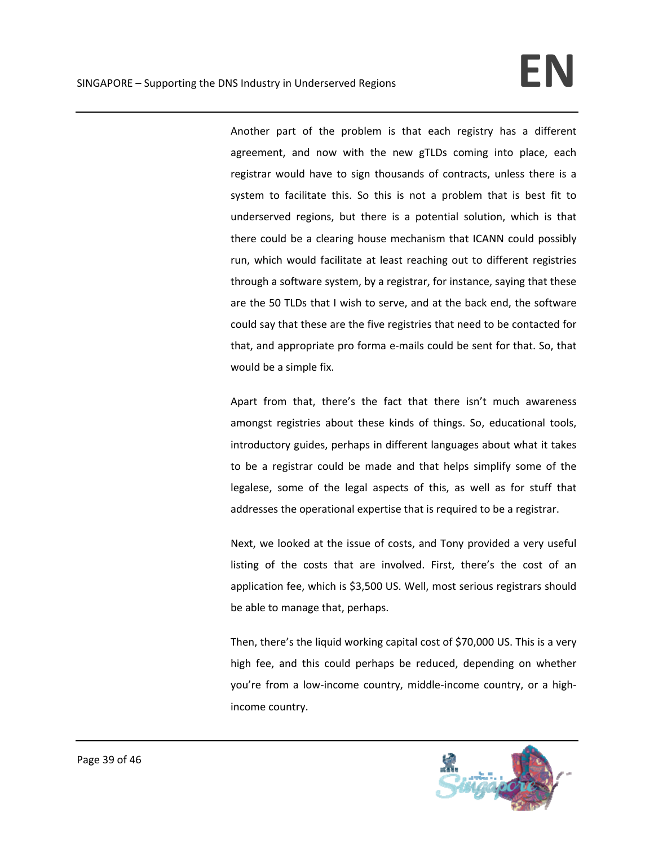Another part of the problem is that each registry has a different agreement, and now with the new gTLDs coming into place, each registrar would have to sign thousands of contracts, unless there is a system to facilitate this. So this is not a problem that is best fit to underserved regions, but there is a potential solution, which is that there could be a clearing house mechanism that ICANN could possibly run, which would facilitate at least reaching out to different registries through a software system, by a registrar, for instance, saying that these are the 50 TLDs that I wish to serve, and at the back end, the software could say that these are the five registries that need to be contacted for that, and appropriate pro forma e‐mails could be sent for that. So, that would be a simple fix.

Apart from that, there's the fact that there isn't much awareness amongst registries about these kinds of things. So, educational tools, introductory guides, perhaps in different languages about what it takes to be a registrar could be made and that helps simplify some of the legalese, some of the legal aspects of this, as well as for stuff that addresses the operational expertise that is required to be a registrar.

Next, we looked at the issue of costs, and Tony provided a very useful listing of the costs that are involved. First, there's the cost of an application fee, which is \$3,500 US. Well, most serious registrars should be able to manage that, perhaps.

Then, there's the liquid working capital cost of \$70,000 US. This is a very high fee, and this could perhaps be reduced, depending on whether you're from a low‐income country, middle‐income country, or a high‐ income country.

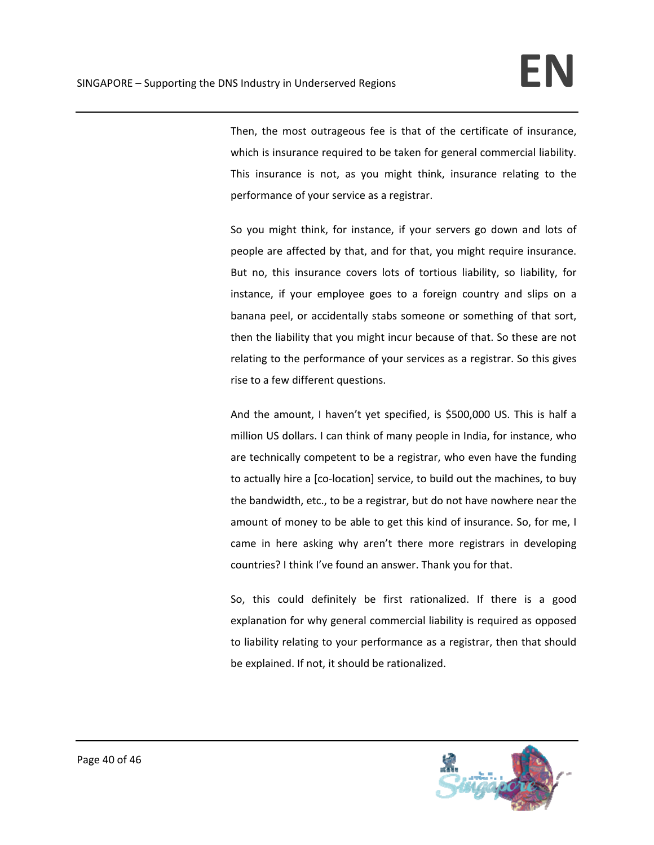Then, the most outrageous fee is that of the certificate of insurance, which is insurance required to be taken for general commercial liability. This insurance is not, as you might think, insurance relating to the performance of your service as a registrar.

So you might think, for instance, if your servers go down and lots of people are affected by that, and for that, you might require insurance. But no, this insurance covers lots of tortious liability, so liability, for instance, if your employee goes to a foreign country and slips on a banana peel, or accidentally stabs someone or something of that sort, then the liability that you might incur because of that. So these are not relating to the performance of your services as a registrar. So this gives rise to a few different questions.

And the amount, I haven't yet specified, is \$500,000 US. This is half a million US dollars. I can think of many people in India, for instance, who are technically competent to be a registrar, who even have the funding to actually hire a [co‐location] service, to build out the machines, to buy the bandwidth, etc., to be a registrar, but do not have nowhere near the amount of money to be able to get this kind of insurance. So, for me, I came in here asking why aren't there more registrars in developing countries? I think I've found an answer. Thank you for that.

So, this could definitely be first rationalized. If there is a good explanation for why general commercial liability is required as opposed to liability relating to your performance as a registrar, then that should be explained. If not, it should be rationalized.

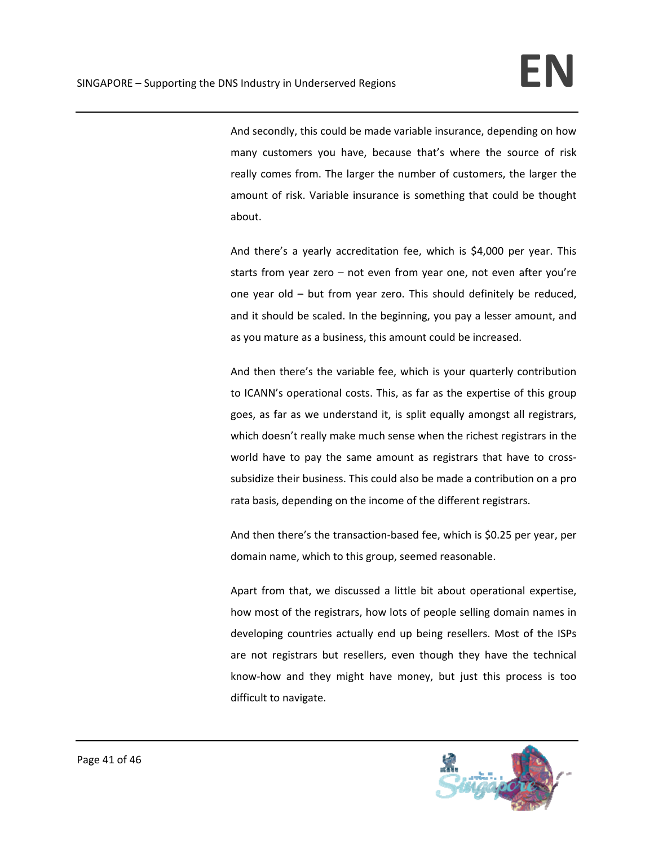And secondly, this could be made variable insurance, depending on how many customers you have, because that's where the source of risk really comes from. The larger the number of customers, the larger the amount of risk. Variable insurance is something that could be thought about.

And there's a yearly accreditation fee, which is \$4,000 per year. This starts from year zero – not even from year one, not even after you're one year old – but from year zero. This should definitely be reduced, and it should be scaled. In the beginning, you pay a lesser amount, and as you mature as a business, this amount could be increased.

And then there's the variable fee, which is your quarterly contribution to ICANN's operational costs. This, as far as the expertise of this group goes, as far as we understand it, is split equally amongst all registrars, which doesn't really make much sense when the richest registrars in the world have to pay the same amount as registrars that have to crosssubsidize their business. This could also be made a contribution on a pro rata basis, depending on the income of the different registrars.

And then there's the transaction‐based fee, which is \$0.25 per year, per domain name, which to this group, seemed reasonable.

Apart from that, we discussed a little bit about operational expertise, how most of the registrars, how lots of people selling domain names in developing countries actually end up being resellers. Most of the ISPs are not registrars but resellers, even though they have the technical know‐how and they might have money, but just this process is too difficult to navigate.

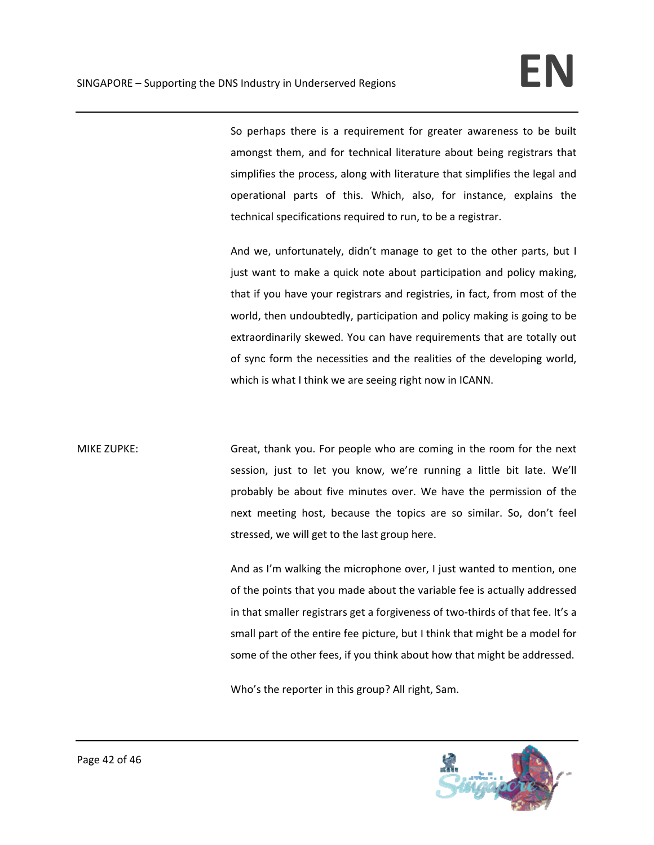So perhaps there is a requirement for greater awareness to be built amongst them, and for technical literature about being registrars that simplifies the process, along with literature that simplifies the legal and operational parts of this. Which, also, for instance, explains the technical specifications required to run, to be a registrar.

And we, unfortunately, didn't manage to get to the other parts, but I just want to make a quick note about participation and policy making, that if you have your registrars and registries, in fact, from most of the world, then undoubtedly, participation and policy making is going to be extraordinarily skewed. You can have requirements that are totally out of sync form the necessities and the realities of the developing world, which is what I think we are seeing right now in ICANN.

MIKE ZUPKE: Great, thank you. For people who are coming in the room for the next session, just to let you know, we're running a little bit late. We'll probably be about five minutes over. We have the permission of the next meeting host, because the topics are so similar. So, don't feel stressed, we will get to the last group here.

> And as I'm walking the microphone over, I just wanted to mention, one of the points that you made about the variable fee is actually addressed in that smaller registrars get a forgiveness of two-thirds of that fee. It's a small part of the entire fee picture, but I think that might be a model for some of the other fees, if you think about how that might be addressed.

Who's the reporter in this group? All right, Sam.

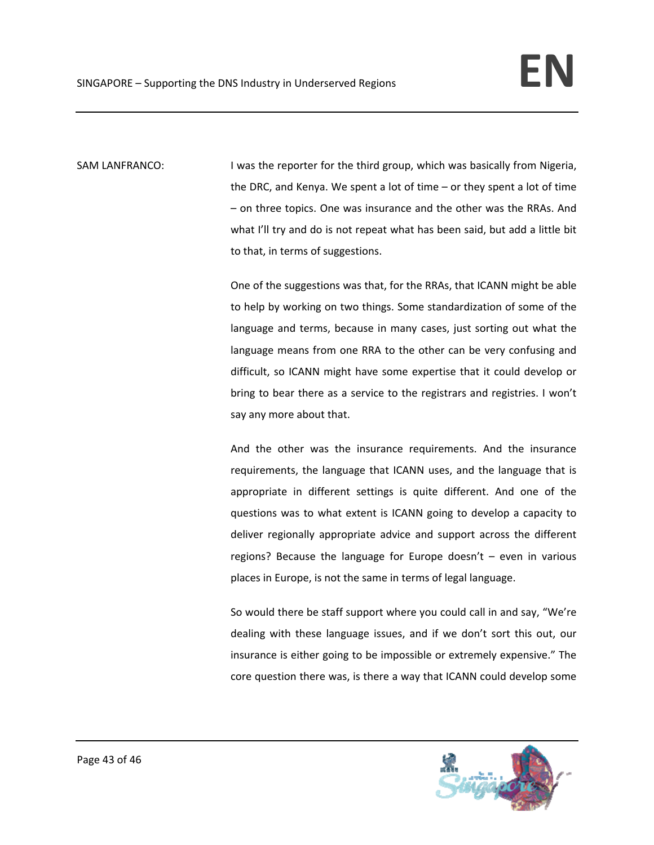SAM LANFRANCO: I was the reporter for the third group, which was basically from Nigeria, the DRC, and Kenya. We spent a lot of time – or they spent a lot of time – on three topics. One was insurance and the other was the RRAs. And what I'll try and do is not repeat what has been said, but add a little bit to that, in terms of suggestions.

> One of the suggestions was that, for the RRAs, that ICANN might be able to help by working on two things. Some standardization of some of the language and terms, because in many cases, just sorting out what the language means from one RRA to the other can be very confusing and difficult, so ICANN might have some expertise that it could develop or bring to bear there as a service to the registrars and registries. I won't say any more about that.

> And the other was the insurance requirements. And the insurance requirements, the language that ICANN uses, and the language that is appropriate in different settings is quite different. And one of the questions was to what extent is ICANN going to develop a capacity to deliver regionally appropriate advice and support across the different regions? Because the language for Europe doesn't – even in various places in Europe, is not the same in terms of legal language.

> So would there be staff support where you could call in and say, "We're dealing with these language issues, and if we don't sort this out, our insurance is either going to be impossible or extremely expensive." The core question there was, is there a way that ICANN could develop some

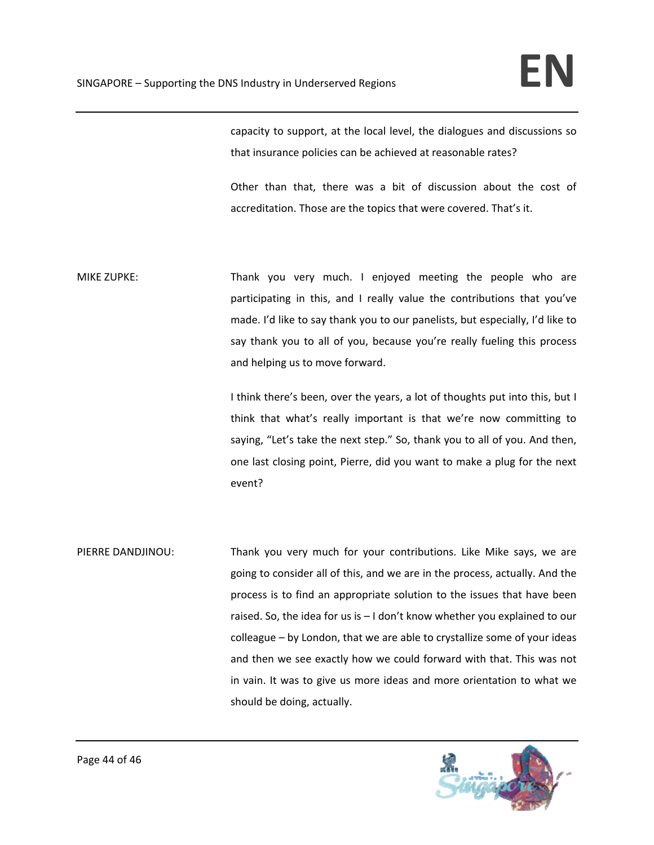capacity to support, at the local level, the dialogues and discussions so that insurance policies can be achieved at reasonable rates?

Other than that, there was a bit of discussion about the cost of accreditation. Those are the topics that were covered. That's it.

MIKE ZUPKE: Thank you very much. I enjoyed meeting the people who are participating in this, and I really value the contributions that you've made. I'd like to say thank you to our panelists, but especially, I'd like to say thank you to all of you, because you're really fueling this process and helping us to move forward.

> I think there's been, over the years, a lot of thoughts put into this, but I think that what's really important is that we're now committing to saying, "Let's take the next step." So, thank you to all of you. And then, one last closing point, Pierre, did you want to make a plug for the next event?

PIERRE DANDJINOU: Thank you very much for your contributions. Like Mike says, we are going to consider all of this, and we are in the process, actually. And the process is to find an appropriate solution to the issues that have been raised. So, the idea for us is – I don't know whether you explained to our colleague – by London, that we are able to crystallize some of your ideas and then we see exactly how we could forward with that. This was not in vain. It was to give us more ideas and more orientation to what we should be doing, actually.

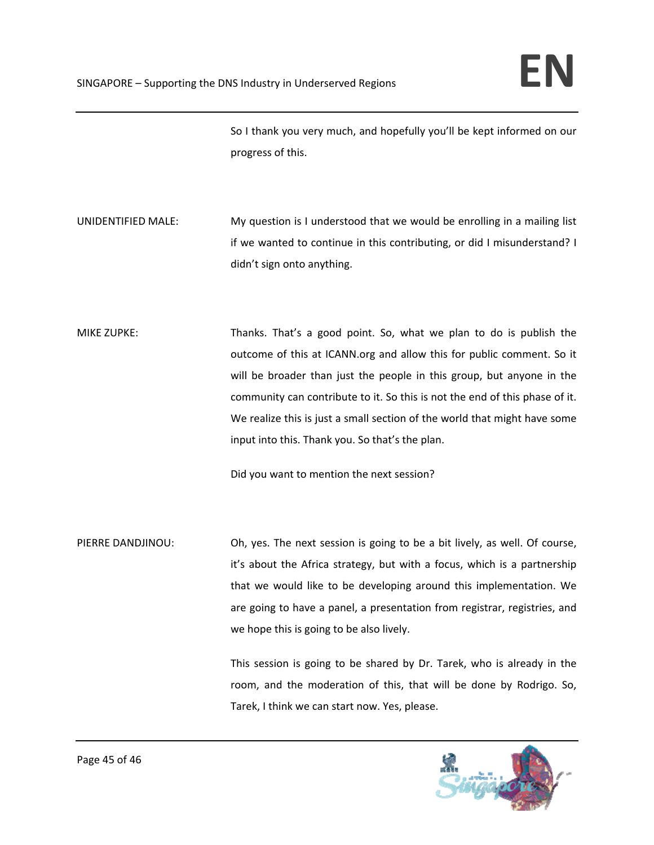So I thank you very much, and hopefully you'll be kept informed on our progress of this.

- UNIDENTIFIED MALE: My question is I understood that we would be enrolling in a mailing list if we wanted to continue in this contributing, or did I misunderstand? I didn't sign onto anything.
- MIKE ZUPKE: Thanks. That's a good point. So, what we plan to do is publish the outcome of this at ICANN.org and allow this for public comment. So it will be broader than just the people in this group, but anyone in the community can contribute to it. So this is not the end of this phase of it. We realize this is just a small section of the world that might have some input into this. Thank you. So that's the plan.

Did you want to mention the next session?

PIERRE DANDJINOU: Oh, yes. The next session is going to be a bit lively, as well. Of course, it's about the Africa strategy, but with a focus, which is a partnership that we would like to be developing around this implementation. We are going to have a panel, a presentation from registrar, registries, and we hope this is going to be also lively.

> This session is going to be shared by Dr. Tarek, who is already in the room, and the moderation of this, that will be done by Rodrigo. So, Tarek, I think we can start now. Yes, please.